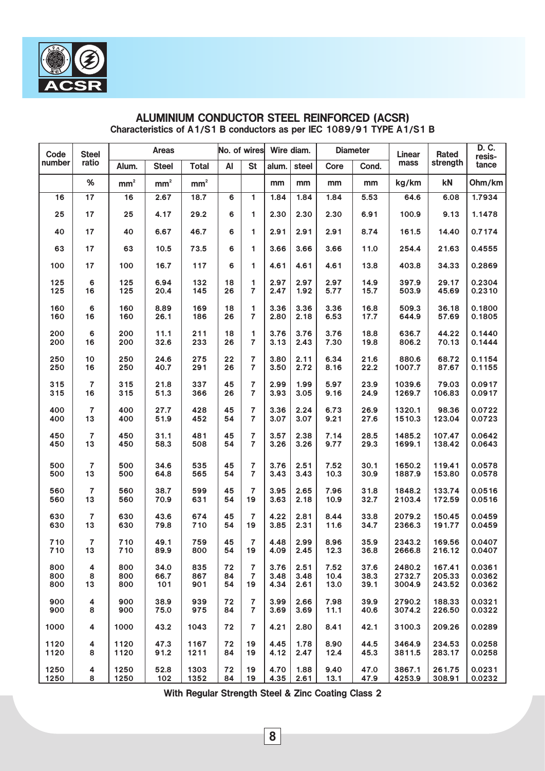| Code   | <b>Steel</b>            |                        | <b>Areas</b>    |               |    | No. of wires   |       | Wire diam. |      | <b>Diameter</b> | Linear | Rated    | D. C.<br>resis- |
|--------|-------------------------|------------------------|-----------------|---------------|----|----------------|-------|------------|------|-----------------|--------|----------|-----------------|
| number | ratio                   | Alum.                  | <b>Steel</b>    | <b>Total</b>  | AI | <b>St</b>      | alum. | steel      | Core | Cond.           | mass   | strength | tance           |
|        | $\%$                    | $\text{mm}^{\text{2}}$ | mm <sup>2</sup> | $\text{mm}^2$ |    |                | mm    | mm         | mm   | mm              | kg/km  | kN       | Ohm/km          |
| 16     | 17                      | 16                     | 2.67            | 18.7          | 6  | 1              | 1.84  | 1.84       | 1.84 | 5.53            | 64.6   | 6.08     | 1.7934          |
| 25     | 17                      | 25                     | 4.17            | 29.2          | 6  | 1              | 2.30  | 2.30       | 2.30 | 6.91            | 100.9  | 9.13     | 1.1478          |
| 40     | 17                      | 40                     | 6.67            | 46.7          | 6  | 1              | 2.91  | 2.91       | 2.91 | 8.74            | 161.5  | 14.40    | 0.7174          |
| 63     | 17                      | 63                     | 10.5            | 73.5          | 6  | 1              | 3.66  | 3.66       | 3.66 | 11.0            | 254.4  | 21.63    | 0.4555          |
| 100    | 17                      | 100                    | 16.7            | 117           | 6  | 1              | 4.61  | 4.61       | 4.61 | 13.8            | 403.8  | 34.33    | 0.2869          |
| 125    | 6                       | 125                    | 6.94            | 132           | 18 | 1              | 2.97  | 2.97       | 2.97 | 14.9            | 397.9  | 29.17    | 0.2304          |
| 125    | 16                      | 125                    | 20.4            | 145           | 26 | $\overline{7}$ | 2.47  | 1.92       | 5.77 | 15.7            | 503.9  | 45.69    | 0.2310          |
| 160    | 6                       | 160                    | 8.89            | 169           | 18 | 1              | 3.36  | 3.36       | 3.36 | 16.8            | 509.3  | 36.18    | 0.1800          |
| 160    | 16                      | 160                    | 26.1            | 186           | 26 | $\overline{7}$ | 2.80  | 2.18       | 6.53 | 17.7            | 644.9  | 57.69    | 0.1805          |
| 200    | 6                       | 200                    | 11.1            | 211           | 18 | 1              | 3.76  | 3.76       | 3.76 | 18.8            | 636.7  | 44.22    | 0.1440          |
| 200    | 16                      | 200                    | 32.6            | 233           | 26 | $\overline{7}$ | 3.13  | 2.43       | 7.30 | 19.8            | 806.2  | 70.13    | 0.1444          |
| 250    | 10                      | 250                    | 24.6            | 275           | 22 | $\overline{7}$ | 3.80  | 2.11       | 6.34 | 21.6            | 880.6  | 68.72    | 0.1154          |
| 250    | 16                      | 250                    | 40.7            | 291           | 26 | $\overline{7}$ | 3.50  | 2.72       | 8.16 | 22.2            | 1007.7 | 87.67    | 0.1155          |
| 315    | 7                       | 315                    | 21.8            | 337           | 45 | 7              | 2.99  | 1.99       | 5.97 | 23.9            | 1039.6 | 79.03    | 0.0917          |
| 315    | 16                      | 315                    | 51.3            | 366           | 26 | $\overline{7}$ | 3.93  | 3.05       | 9.16 | 24.9            | 1269.7 | 106.83   | 0.0917          |
| 400    | $\overline{7}$          | 400                    | 27.7            | 428           | 45 | 7              | 3.36  | 2.24       | 6.73 | 26.9            | 1320.1 | 98.36    | 0.0722          |
| 400    | 13                      | 400                    | 51.9            | 452           | 54 | $\overline{7}$ | 3.07  | 3.07       | 9.21 | 27.6            | 1510.3 | 123.04   | 0.0723          |
| 450    | 7                       | 450                    | 31.1            | 481           | 45 | 7              | 3.57  | 2.38       | 7.14 | 28.5            | 1485.2 | 107.47   | 0.0642          |
| 450    | 13                      | 450                    | 58.3            | 508           | 54 | $\overline{7}$ | 3.26  | 3.26       | 9.77 | 29.3            | 1699.1 | 138.42   | 0.0643          |
| 500    | $\overline{7}$          | 500                    | 34.6            | 535           | 45 | 7              | 3.76  | 2.51       | 7.52 | 30.1            | 1650.2 | 119.41   | 0.0578          |
| 500    | 13                      | 500                    | 64.8            | 565           | 54 | $\overline{7}$ | 3.43  | 3.43       | 10.3 | 30.9            | 1887.9 | 153.80   | 0.0578          |
| 560    | 7                       | 560                    | 38.7            | 599           | 45 | $\overline{7}$ | 3.95  | 2.65       | 7.96 | 31.8            | 1848.2 | 133.74   | 0.0516          |
| 560    | 13                      | 560                    | 70.9            | 631           | 54 | 19             | 3.63  | 2.18       | 10.9 | 32.7            | 2103.4 | 172.59   | 0.0516          |
| 630    | 7                       | 630                    | 43.6            | 674           | 45 | 7              | 4.22  | 2.81       | 8.44 | 33.8            | 2079.2 | 150.45   | 0.0459          |
| 630    | 13                      | 630                    | 79.8            | 710           | 54 | 19             | 3.85  | 2.31       | 11.6 | 34.7            | 2366.3 | 191.77   | 0.0459          |
| 710    | $\overline{7}$          | 710                    | 49.1            | 759           | 45 | $\overline{7}$ | 4.48  | 2.99       | 8.96 | 35.9            | 2343.2 | 169.56   | 0.0407          |
| 710    | 13                      | 710                    | 89.9            | 800           | 54 | 19             | 4.09  | 2.45       | 12.3 | 36.8            | 2666.8 | 216.12   | 0.0407          |
| 800    | 4                       | 800                    | 34.0            | 835           | 72 | 7              | 3.76  | 2.51       | 7.52 | 37.6            | 2480.2 | 167.41   | 0.0361          |
| 800    | 8                       | 800                    | 66.7            | 867           | 84 | 7              | 3.48  | 3.48       | 10.4 | 38.3            | 2732.7 | 205.33   | 0.0362          |
| 800    | 13                      | 800                    | 101             | 901           | 54 | 19             | 4.34  | 2.61       | 13.0 | 39.1            | 3004.9 | 243.52   | 0.0362          |
| 900    | 4                       | 900                    | 38.9            | 939           | 72 | 7              | 3.99  | 2.66       | 7.98 | 39.9            | 2790.2 | 188.33   | 0.0321          |
| 900    | 8                       | 900                    | 75.0            | 975           | 84 | $\overline{7}$ | 3.69  | 3.69       | 11.1 | 40.6            | 3074.2 | 226.50   | 0.0322          |
| 1000   | 4                       | 1000                   | 43.2            | 1043          | 72 | $\overline{7}$ | 4.21  | 2.80       | 8.41 | 42.1            | 3100.3 | 209.26   | 0.0289          |
| 1120   | 4                       | 1120                   | 47.3            | 1167          | 72 | 19             | 4.45  | 1.78       | 8.90 | 44.5            | 3464.9 | 234.53   | 0.0258          |
| 1120   | 8                       | 1120                   | 91.2            | 1211          | 84 | 19             | 4.12  | 2.47       | 12.4 | 45.3            | 3811.5 | 283.17   | 0.0258          |
| 1250   | $\overline{\mathbf{4}}$ | 1250                   | 52.8            | 1303          | 72 | 19             | 4.70  | 1.88       | 9.40 | 47.0            | 3867.1 | 261.75   | 0.0231          |
| 1250   | 8                       | 1250                   | 102             | 1352          | 84 | 19             | 4.35  | 2.61       | 13.1 | 47.9            | 4253.9 | 308.91   | 0.0232          |

# ALUMINIUM CONDUCTOR STEEL REINFORCED (ACSR) Characteristics of A1/S1 B conductors as per IEC 1089/91 TYPE A1/S1 B

With Regular Strength Steel & Zinc Coating Class 2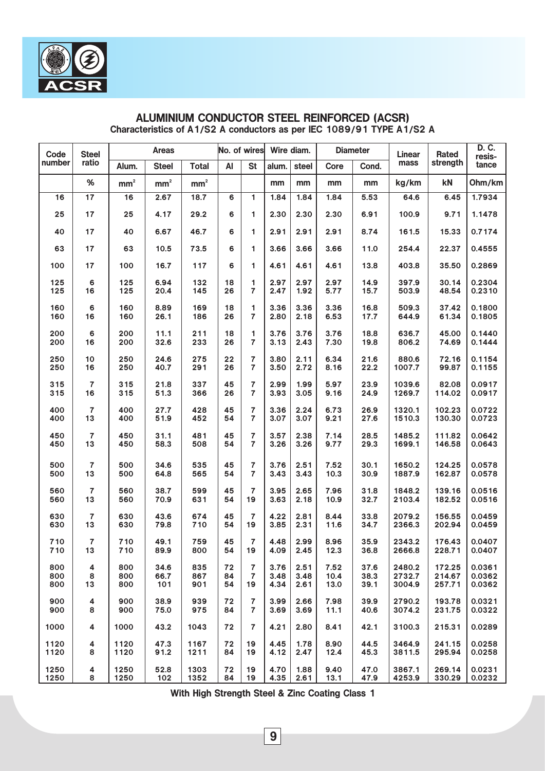| Code   | <b>Steel</b>            |                        | <b>Areas</b>  |                 |    | No. of wires   |       | Wire diam. |      | <b>Diameter</b> | Linear | Rated    | D. C.<br>resis- |
|--------|-------------------------|------------------------|---------------|-----------------|----|----------------|-------|------------|------|-----------------|--------|----------|-----------------|
| number | ratio                   | Alum.                  | <b>Steel</b>  | <b>Total</b>    | AI | <b>St</b>      | alum. | steel      | Core | Cond.           | mass   | strength | tance           |
|        | $\%$                    | $\text{mm}^{\text{2}}$ | $\text{mm}^2$ | mm <sup>2</sup> |    |                | mm    | mm         | mm   | mm              | kg/km  | kN       | Ohm/km          |
| 16     | 17                      | 16                     | 2.67          | 18.7            | 6  | 1              | 1.84  | 1.84       | 1.84 | 5.53            | 64.6   | 6.45     | 1.7934          |
| 25     | 17                      | 25                     | 4.17          | 29.2            | 6  | 1              | 2.30  | 2.30       | 2.30 | 6.91            | 100.9  | 9.71     | 1.1478          |
| 40     | 17                      | 40                     | 6.67          | 46.7            | 6  | 1              | 2.91  | 2.91       | 2.91 | 8.74            | 161.5  | 15.33    | 0.7174          |
| 63     | 17                      | 63                     | 10.5          | 73.5            | 6  | 1              | 3.66  | 3.66       | 3.66 | 11.0            | 254.4  | 22.37    | 0.4555          |
| 100    | 17                      | 100                    | 16.7          | 117             | 6  | 1              | 4.61  | 4.61       | 4.61 | 13.8            | 403.8  | 35.50    | 0.2869          |
| 125    | 6                       | 125                    | 6.94          | 132             | 18 | 1              | 2.97  | 2.97       | 2.97 | 14.9            | 397.9  | 30.14    | 0.2304          |
| 125    | 16                      | 125                    | 20.4          | 145             | 26 | $\overline{7}$ | 2.47  | 1.92       | 5.77 | 15.7            | 503.9  | 48.54    | 0.2310          |
| 160    | 6                       | 160                    | 8.89          | 169             | 18 | 1              | 3.36  | 3.36       | 3.36 | 16.8            | 509.3  | 37.42    | 0.1800          |
| 160    | 16                      | 160                    | 26.1          | 186             | 26 | $\overline{7}$ | 2.80  | 2.18       | 6.53 | 17.7            | 644.9  | 61.34    | 0.1805          |
| 200    | 6                       | 200                    | 11.1          | 211             | 18 | 1              | 3.76  | 3.76       | 3.76 | 18.8            | 636.7  | 45.00    | 0.1440          |
| 200    | 16                      | 200                    | 32.6          | 233             | 26 | $\overline{7}$ | 3.13  | 2.43       | 7.30 | 19.8            | 806.2  | 74.69    | 0.1444          |
| 250    | 10                      | 250                    | 24.6          | 275             | 22 | 7              | 3.80  | 2.11       | 6.34 | 21.6            | 880.6  | 72.16    | 0.1154          |
| 250    | 16                      | 250                    | 40.7          | 291             | 26 | $\overline{7}$ | 3.50  | 2.72       | 8.16 | 22.2            | 1007.7 | 99.87    | 0.1155          |
| 315    | 7                       | 315                    | 21.8          | 337             | 45 | $\overline{7}$ | 2.99  | 1.99       | 5.97 | 23.9            | 1039.6 | 82.08    | 0.0917          |
| 315    | 16                      | 315                    | 51.3          | 366             | 26 | $\overline{7}$ | 3.93  | 3.05       | 9.16 | 24.9            | 1269.7 | 114.02   | 0.0917          |
| 400    | $\overline{7}$          | 400                    | 27.7          | 428             | 45 | 7              | 3.36  | 2.24       | 6.73 | 26.9            | 1320.1 | 102.23   | 0.0722          |
| 400    | 13                      | 400                    | 51.9          | 452             | 54 | $\overline{7}$ | 3.07  | 3.07       | 9.21 | 27.6            | 1510.3 | 130.30   | 0.0723          |
| 450    | 7                       | 450                    | 31.1          | 481             | 45 | 7              | 3.57  | 2.38       | 7.14 | 28.5            | 1485.2 | 111.82   | 0.0642          |
| 450    | 13                      | 450                    | 58.3          | 508             | 54 | $\overline{7}$ | 3.26  | 3.26       | 9.77 | 29.3            | 1699.1 | 146.58   | 0.0643          |
| 500    | $\overline{7}$          | 500                    | 34.6          | 535             | 45 | 7              | 3.76  | 2.51       | 7.52 | 30.1            | 1650.2 | 124.25   | 0.0578          |
| 500    | 13                      | 500                    | 64.8          | 565             | 54 | 7              | 3.43  | 3.43       | 10.3 | 30.9            | 1887.9 | 162.87   | 0.0578          |
| 560    | 7                       | 560                    | 38.7          | 599             | 45 | $\overline{7}$ | 3.95  | 2.65       | 7.96 | 31.8            | 1848.2 | 139.16   | 0.0516          |
| 560    | 13                      | 560                    | 70.9          | 631             | 54 | 19             | 3.63  | 2.18       | 10.9 | 32.7            | 2103.4 | 182.52   | 0.0516          |
| 630    | 7                       | 630                    | 43.6          | 674             | 45 | $\overline{7}$ | 4.22  | 2.81       | 8.44 | 33.8            | 2079.2 | 156.55   | 0.0459          |
| 630    | 13                      | 630                    | 79.8          | 710             | 54 | 19             | 3.85  | 2.31       | 11.6 | 34.7            | 2366.3 | 202.94   | 0.0459          |
| 710    | $\overline{7}$          | 710                    | 49.1          | 759             | 45 | $\overline{7}$ | 4.48  | 2.99       | 8.96 | 35.9            | 2343.2 | 176.43   | 0.0407          |
| 710    | 13                      | 710                    | 89.9          | 800             | 54 | 19             | 4.09  | 2.45       | 12.3 | 36.8            | 2666.8 | 228.71   | 0.0407          |
| 800    | 4                       | 800                    | 34.6          | 835             | 72 | 7              | 3.76  | 2.51       | 7.52 | 37.6            | 2480.2 | 172.25   | 0.0361          |
| 800    | 8                       | 800                    | 66.7          | 867             | 84 | 7              | 3.48  | 3.48       | 10.4 | 38.3            | 2732.7 | 214.67   | 0.0362          |
| 800    | 13                      | 800                    | 101           | 901             | 54 | 19             | 4.34  | 2.61       | 13.0 | 39.1            | 3004.9 | 257.71   | 0.0362          |
| 900    | 4                       | 900                    | 38.9          | 939             | 72 | 7              | 3.99  | 2.66       | 7.98 | 39.9            | 2790.2 | 193.78   | 0.0321          |
| 900    | 8                       | 900                    | 75.0          | 975             | 84 | $\overline{7}$ | 3.69  | 3.69       | 11.1 | 40.6            | 3074.2 | 231.75   | 0.0322          |
| 1000   | 4                       | 1000                   | 43.2          | 1043            | 72 | 7              | 4.21  | 2.80       | 8.41 | 42.1            | 3100.3 | 215.31   | 0.0289          |
| 1120   | 4                       | 1120                   | 47.3          | 1167            | 72 | 19             | 4.45  | 1.78       | 8.90 | 44.5            | 3464.9 | 241.15   | 0.0258          |
| 1120   | 8                       | 1120                   | 91.2          | 1211            | 84 | 19             | 4.12  | 2.47       | 12.4 | 45.3            | 3811.5 | 295.94   | 0.0258          |
| 1250   | $\overline{\mathbf{4}}$ | 1250                   | 52.8          | 1303            | 72 | 19             | 4.70  | 1.88       | 9.40 | 47.0            | 3867.1 | 269.14   | 0.0231          |
| 1250   | 8                       | 1250                   | 102           | 1352            | 84 | 19             | 4.35  | 2.61       | 13.1 | 47.9            | 4253.9 | 330.29   | 0.0232          |

# ALUMINIUM CONDUCTOR STEEL REINFORCED (ACSR) Characteristics of A1/S2 A conductors as per IEC 1089/91 TYPE A1/S2 A

With High Strength Steel & Zinc Coating Class 1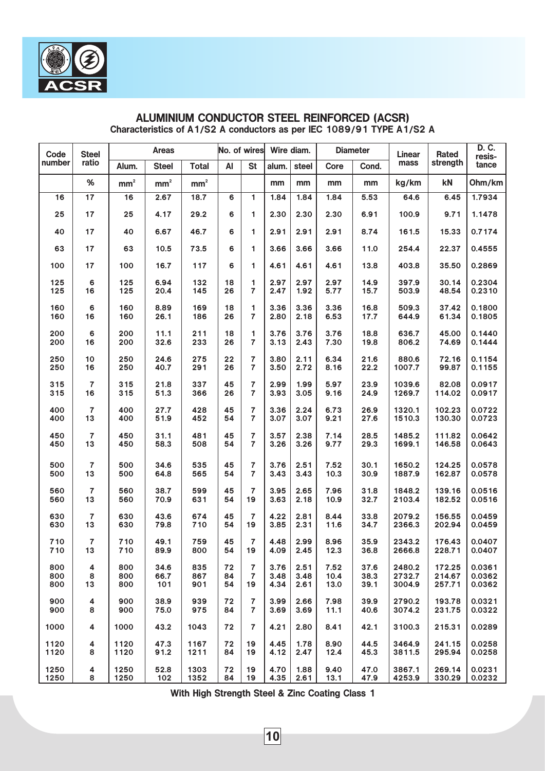| Code   | <b>Steel</b>            |                        | <b>Areas</b>  |                 |    | No. of wires   |       | Wire diam. |      | <b>Diameter</b> | Linear | Rated    | D. C.<br>resis- |
|--------|-------------------------|------------------------|---------------|-----------------|----|----------------|-------|------------|------|-----------------|--------|----------|-----------------|
| number | ratio                   | Alum.                  | <b>Steel</b>  | <b>Total</b>    | AI | <b>St</b>      | alum. | steel      | Core | Cond.           | mass   | strength | tance           |
|        | $\%$                    | $\text{mm}^{\text{2}}$ | $\text{mm}^2$ | mm <sup>2</sup> |    |                | mm    | mm         | mm   | mm              | kg/km  | kN       | Ohm/km          |
| 16     | 17                      | 16                     | 2.67          | 18.7            | 6  | 1              | 1.84  | 1.84       | 1.84 | 5.53            | 64.6   | 6.45     | 1.7934          |
| 25     | 17                      | 25                     | 4.17          | 29.2            | 6  | 1              | 2.30  | 2.30       | 2.30 | 6.91            | 100.9  | 9.71     | 1.1478          |
| 40     | 17                      | 40                     | 6.67          | 46.7            | 6  | 1              | 2.91  | 2.91       | 2.91 | 8.74            | 161.5  | 15.33    | 0.7174          |
| 63     | 17                      | 63                     | 10.5          | 73.5            | 6  | 1              | 3.66  | 3.66       | 3.66 | 11.0            | 254.4  | 22.37    | 0.4555          |
| 100    | 17                      | 100                    | 16.7          | 117             | 6  | 1              | 4.61  | 4.61       | 4.61 | 13.8            | 403.8  | 35.50    | 0.2869          |
| 125    | 6                       | 125                    | 6.94          | 132             | 18 | 1              | 2.97  | 2.97       | 2.97 | 14.9            | 397.9  | 30.14    | 0.2304          |
| 125    | 16                      | 125                    | 20.4          | 145             | 26 | $\overline{7}$ | 2.47  | 1.92       | 5.77 | 15.7            | 503.9  | 48.54    | 0.2310          |
| 160    | 6                       | 160                    | 8.89          | 169             | 18 | 1              | 3.36  | 3.36       | 3.36 | 16.8            | 509.3  | 37.42    | 0.1800          |
| 160    | 16                      | 160                    | 26.1          | 186             | 26 | $\overline{7}$ | 2.80  | 2.18       | 6.53 | 17.7            | 644.9  | 61.34    | 0.1805          |
| 200    | 6                       | 200                    | 11.1          | 211             | 18 | 1              | 3.76  | 3.76       | 3.76 | 18.8            | 636.7  | 45.00    | 0.1440          |
| 200    | 16                      | 200                    | 32.6          | 233             | 26 | $\overline{7}$ | 3.13  | 2.43       | 7.30 | 19.8            | 806.2  | 74.69    | 0.1444          |
| 250    | 10                      | 250                    | 24.6          | 275             | 22 | 7              | 3.80  | 2.11       | 6.34 | 21.6            | 880.6  | 72.16    | 0.1154          |
| 250    | 16                      | 250                    | 40.7          | 291             | 26 | $\overline{7}$ | 3.50  | 2.72       | 8.16 | 22.2            | 1007.7 | 99.87    | 0.1155          |
| 315    | 7                       | 315                    | 21.8          | 337             | 45 | $\overline{7}$ | 2.99  | 1.99       | 5.97 | 23.9            | 1039.6 | 82.08    | 0.0917          |
| 315    | 16                      | 315                    | 51.3          | 366             | 26 | $\overline{7}$ | 3.93  | 3.05       | 9.16 | 24.9            | 1269.7 | 114.02   | 0.0917          |
| 400    | $\overline{7}$          | 400                    | 27.7          | 428             | 45 | 7              | 3.36  | 2.24       | 6.73 | 26.9            | 1320.1 | 102.23   | 0.0722          |
| 400    | 13                      | 400                    | 51.9          | 452             | 54 | $\overline{7}$ | 3.07  | 3.07       | 9.21 | 27.6            | 1510.3 | 130.30   | 0.0723          |
| 450    | 7                       | 450                    | 31.1          | 481             | 45 | 7              | 3.57  | 2.38       | 7.14 | 28.5            | 1485.2 | 111.82   | 0.0642          |
| 450    | 13                      | 450                    | 58.3          | 508             | 54 | $\overline{7}$ | 3.26  | 3.26       | 9.77 | 29.3            | 1699.1 | 146.58   | 0.0643          |
| 500    | $\overline{7}$          | 500                    | 34.6          | 535             | 45 | 7              | 3.76  | 2.51       | 7.52 | 30.1            | 1650.2 | 124.25   | 0.0578          |
| 500    | 13                      | 500                    | 64.8          | 565             | 54 | 7              | 3.43  | 3.43       | 10.3 | 30.9            | 1887.9 | 162.87   | 0.0578          |
| 560    | 7                       | 560                    | 38.7          | 599             | 45 | $\overline{7}$ | 3.95  | 2.65       | 7.96 | 31.8            | 1848.2 | 139.16   | 0.0516          |
| 560    | 13                      | 560                    | 70.9          | 631             | 54 | 19             | 3.63  | 2.18       | 10.9 | 32.7            | 2103.4 | 182.52   | 0.0516          |
| 630    | 7                       | 630                    | 43.6          | 674             | 45 | $\overline{7}$ | 4.22  | 2.81       | 8.44 | 33.8            | 2079.2 | 156.55   | 0.0459          |
| 630    | 13                      | 630                    | 79.8          | 710             | 54 | 19             | 3.85  | 2.31       | 11.6 | 34.7            | 2366.3 | 202.94   | 0.0459          |
| 710    | $\overline{7}$          | 710                    | 49.1          | 759             | 45 | $\overline{7}$ | 4.48  | 2.99       | 8.96 | 35.9            | 2343.2 | 176.43   | 0.0407          |
| 710    | 13                      | 710                    | 89.9          | 800             | 54 | 19             | 4.09  | 2.45       | 12.3 | 36.8            | 2666.8 | 228.71   | 0.0407          |
| 800    | 4                       | 800                    | 34.6          | 835             | 72 | 7              | 3.76  | 2.51       | 7.52 | 37.6            | 2480.2 | 172.25   | 0.0361          |
| 800    | 8                       | 800                    | 66.7          | 867             | 84 | 7              | 3.48  | 3.48       | 10.4 | 38.3            | 2732.7 | 214.67   | 0.0362          |
| 800    | 13                      | 800                    | 101           | 901             | 54 | 19             | 4.34  | 2.61       | 13.0 | 39.1            | 3004.9 | 257.71   | 0.0362          |
| 900    | 4                       | 900                    | 38.9          | 939             | 72 | 7              | 3.99  | 2.66       | 7.98 | 39.9            | 2790.2 | 193.78   | 0.0321          |
| 900    | 8                       | 900                    | 75.0          | 975             | 84 | $\overline{7}$ | 3.69  | 3.69       | 11.1 | 40.6            | 3074.2 | 231.75   | 0.0322          |
| 1000   | 4                       | 1000                   | 43.2          | 1043            | 72 | 7              | 4.21  | 2.80       | 8.41 | 42.1            | 3100.3 | 215.31   | 0.0289          |
| 1120   | 4                       | 1120                   | 47.3          | 1167            | 72 | 19             | 4.45  | 1.78       | 8.90 | 44.5            | 3464.9 | 241.15   | 0.0258          |
| 1120   | 8                       | 1120                   | 91.2          | 1211            | 84 | 19             | 4.12  | 2.47       | 12.4 | 45.3            | 3811.5 | 295.94   | 0.0258          |
| 1250   | $\overline{\mathbf{4}}$ | 1250                   | 52.8          | 1303            | 72 | 19             | 4.70  | 1.88       | 9.40 | 47.0            | 3867.1 | 269.14   | 0.0231          |
| 1250   | 8                       | 1250                   | 102           | 1352            | 84 | 19             | 4.35  | 2.61       | 13.1 | 47.9            | 4253.9 | 330.29   | 0.0232          |

# ALUMINIUM CONDUCTOR STEEL REINFORCED (ACSR) Characteristics of A1/S2 A conductors as per IEC 1089/91 TYPE A1/S2 A

With High Strength Steel & Zinc Coating Class 1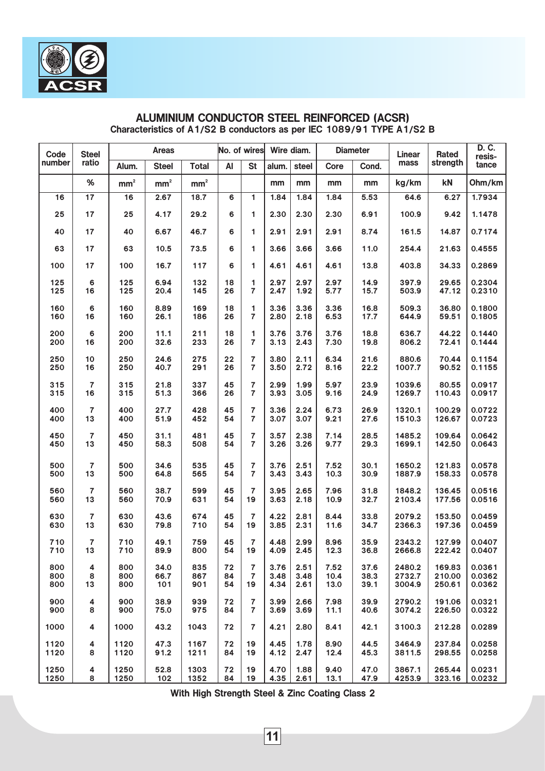| Code   | <b>Steel</b>            |                        | <b>Areas</b>  |                 |    | No. of wires   |       | Wire diam. |      | <b>Diameter</b> | Linear | Rated    | D. C.<br>resis- |
|--------|-------------------------|------------------------|---------------|-----------------|----|----------------|-------|------------|------|-----------------|--------|----------|-----------------|
| number | ratio                   | Alum.                  | <b>Steel</b>  | <b>Total</b>    | AI | <b>St</b>      | alum. | steel      | Core | Cond.           | mass   | strength | tance           |
|        | $\%$                    | $\text{mm}^{\text{2}}$ | $\text{mm}^2$ | mm <sup>2</sup> |    |                | mm    | mm         | mm   | mm              | kg/km  | kN       | Ohm/km          |
| 16     | 17                      | 16                     | 2.67          | 18.7            | 6  | 1              | 1.84  | 1.84       | 1.84 | 5.53            | 64.6   | 6.27     | 1.7934          |
| 25     | 17                      | 25                     | 4.17          | 29.2            | 6  | 1              | 2.30  | 2.30       | 2.30 | 6.91            | 100.9  | 9.42     | 1.1478          |
| 40     | 17                      | 40                     | 6.67          | 46.7            | 6  | 1              | 2.91  | 2.91       | 2.91 | 8.74            | 161.5  | 14.87    | 0.7174          |
| 63     | 17                      | 63                     | 10.5          | 73.5            | 6  | 1              | 3.66  | 3.66       | 3.66 | 11.0            | 254.4  | 21.63    | 0.4555          |
| 100    | 17                      | 100                    | 16.7          | 117             | 6  | 1              | 4.61  | 4.61       | 4.61 | 13.8            | 403.8  | 34.33    | 0.2869          |
| 125    | 6                       | 125                    | 6.94          | 132             | 18 | 1              | 2.97  | 2.97       | 2.97 | 14.9            | 397.9  | 29.65    | 0.2304          |
| 125    | 16                      | 125                    | 20.4          | 145             | 26 | $\overline{7}$ | 2.47  | 1.92       | 5.77 | 15.7            | 503.9  | 47.12    | 0.2310          |
| 160    | 6                       | 160                    | 8.89          | 169             | 18 | 1              | 3.36  | 3.36       | 3.36 | 16.8            | 509.3  | 36.80    | 0.1800          |
| 160    | 16                      | 160                    | 26.1          | 186             | 26 | $\overline{7}$ | 2.80  | 2.18       | 6.53 | 17.7            | 644.9  | 59.51    | 0.1805          |
| 200    | 6                       | 200                    | 11.1          | 211             | 18 | 1              | 3.76  | 3.76       | 3.76 | 18.8            | 636.7  | 44.22    | 0.1440          |
| 200    | 16                      | 200                    | 32.6          | 233             | 26 | $\overline{7}$ | 3.13  | 2.43       | 7.30 | 19.8            | 806.2  | 72.41    | 0.1444          |
| 250    | 10                      | 250                    | 24.6          | 275             | 22 | 7              | 3.80  | 2.11       | 6.34 | 21.6            | 880.6  | 70.44    | 0.1154          |
| 250    | 16                      | 250                    | 40.7          | 291             | 26 | $\overline{7}$ | 3.50  | 2.72       | 8.16 | 22.2            | 1007.7 | 90.52    | 0.1155          |
| 315    | 7                       | 315                    | 21.8          | 337             | 45 | $\overline{7}$ | 2.99  | 1.99       | 5.97 | 23.9            | 1039.6 | 80.55    | 0.0917          |
| 315    | 16                      | 315                    | 51.3          | 366             | 26 | $\overline{7}$ | 3.93  | 3.05       | 9.16 | 24.9            | 1269.7 | 110.43   | 0.0917          |
| 400    | $\overline{7}$          | 400                    | 27.7          | 428             | 45 | 7              | 3.36  | 2.24       | 6.73 | 26.9            | 1320.1 | 100.29   | 0.0722          |
| 400    | 13                      | 400                    | 51.9          | 452             | 54 | $\overline{7}$ | 3.07  | 3.07       | 9.21 | 27.6            | 1510.3 | 126.67   | 0.0723          |
| 450    | 7                       | 450                    | 31.1          | 481             | 45 | 7              | 3.57  | 2.38       | 7.14 | 28.5            | 1485.2 | 109.64   | 0.0642          |
| 450    | 13                      | 450                    | 58.3          | 508             | 54 | $\overline{7}$ | 3.26  | 3.26       | 9.77 | 29.3            | 1699.1 | 142.50   | 0.0643          |
| 500    | $\overline{7}$          | 500                    | 34.6          | 535             | 45 | 7              | 3.76  | 2.51       | 7.52 | 30.1            | 1650.2 | 121.83   | 0.0578          |
| 500    | 13                      | 500                    | 64.8          | 565             | 54 | $\overline{7}$ | 3.43  | 3.43       | 10.3 | 30.9            | 1887.9 | 158.33   | 0.0578          |
| 560    | 7                       | 560                    | 38.7          | 599             | 45 | $\overline{7}$ | 3.95  | 2.65       | 7.96 | 31.8            | 1848.2 | 136.45   | 0.0516          |
| 560    | 13                      | 560                    | 70.9          | 631             | 54 | 19             | 3.63  | 2.18       | 10.9 | 32.7            | 2103.4 | 177.56   | 0.0516          |
| 630    | 7                       | 630                    | 43.6          | 674             | 45 | 7              | 4.22  | 2.81       | 8.44 | 33.8            | 2079.2 | 153.50   | 0.0459          |
| 630    | 13                      | 630                    | 79.8          | 710             | 54 | 19             | 3.85  | 2.31       | 11.6 | 34.7            | 2366.3 | 197.36   | 0.0459          |
| 710    | $\overline{7}$          | 710                    | 49.1          | 759             | 45 | $\overline{7}$ | 4.48  | 2.99       | 8.96 | 35.9            | 2343.2 | 127.99   | 0.0407          |
| 710    | 13                      | 710                    | 89.9          | 800             | 54 | 19             | 4.09  | 2.45       | 12.3 | 36.8            | 2666.8 | 222.42   | 0.0407          |
| 800    | 4                       | 800                    | 34.0          | 835             | 72 | 7              | 3.76  | 2.51       | 7.52 | 37.6            | 2480.2 | 169.83   | 0.0361          |
| 800    | 8                       | 800                    | 66.7          | 867             | 84 | 7              | 3.48  | 3.48       | 10.4 | 38.3            | 2732.7 | 210.00   | 0.0362          |
| 800    | 13                      | 800                    | 101           | 901             | 54 | 19             | 4.34  | 2.61       | 13.0 | 39.1            | 3004.9 | 250.61   | 0.0362          |
| 900    | 4                       | 900                    | 38.9          | 939             | 72 | 7              | 3.99  | 2.66       | 7.98 | 39.9            | 2790.2 | 191.06   | 0.0321          |
| 900    | 8                       | 900                    | 75.0          | 975             | 84 | $\overline{7}$ | 3.69  | 3.69       | 11.1 | 40.6            | 3074.2 | 226.50   | 0.0322          |
| 1000   | 4                       | 1000                   | 43.2          | 1043            | 72 | $\overline{7}$ | 4.21  | 2.80       | 8.41 | 42.1            | 3100.3 | 212.28   | 0.0289          |
| 1120   | 4                       | 1120                   | 47.3          | 1167            | 72 | 19             | 4.45  | 1.78       | 8.90 | 44.5            | 3464.9 | 237.84   | 0.0258          |
| 1120   | 8                       | 1120                   | 91.2          | 1211            | 84 | 19             | 4.12  | 2.47       | 12.4 | 45.3            | 3811.5 | 298.55   | 0.0258          |
| 1250   | $\overline{\mathbf{4}}$ | 1250                   | 52.8          | 1303            | 72 | 19             | 4.70  | 1.88       | 9.40 | 47.0            | 3867.1 | 265.44   | 0.0231          |
| 1250   | 8                       | 1250                   | 102           | 1352            | 84 | 19             | 4.35  | 2.61       | 13.1 | 47.9            | 4253.9 | 323.16   | 0.0232          |

# ALUMINIUM CONDUCTOR STEEL REINFORCED (ACSR) Characteristics of A1/S2 B conductors as per IEC 1089/91 TYPE A1/S2 B

With High Strength Steel & Zinc Coating Class 2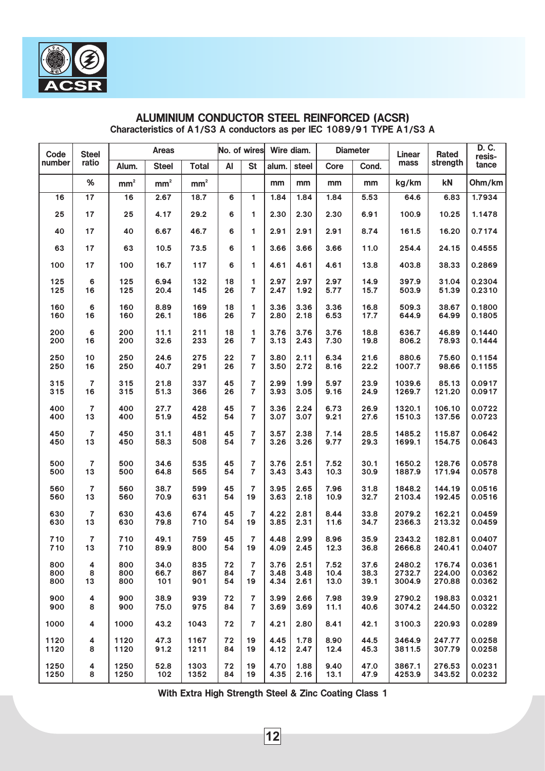| Code   | <b>Steel</b>   |                        | <b>Areas</b>  |                 |    | No. of wires   |       | Wire diam. |      | <b>Diameter</b> | Linear | Rated    | D. C.<br>resis- |
|--------|----------------|------------------------|---------------|-----------------|----|----------------|-------|------------|------|-----------------|--------|----------|-----------------|
| number | ratio          | Alum.                  | <b>Steel</b>  | <b>Total</b>    | AI | <b>St</b>      | alum. | steel      | Core | Cond.           | mass   | strength | tance           |
|        | $\%$           | $\text{mm}^{\text{2}}$ | $\text{mm}^2$ | mm <sup>2</sup> |    |                | mm    | mm         | mm   | mm              | kg/km  | kN       | Ohm/km          |
| 16     | 17             | 16                     | 2.67          | 18.7            | 6  | 1              | 1.84  | 1.84       | 1.84 | 5.53            | 64.6   | 6.83     | 1.7934          |
| 25     | 17             | 25                     | 4.17          | 29.2            | 6  | 1              | 2.30  | 2.30       | 2.30 | 6.91            | 100.9  | 10.25    | 1.1478          |
| 40     | 17             | 40                     | 6.67          | 46.7            | 6  | 1              | 2.91  | 2.91       | 2.91 | 8.74            | 161.5  | 16.20    | 0.7174          |
| 63     | 17             | 63                     | 10.5          | 73.5            | 6  | 1              | 3.66  | 3.66       | 3.66 | 11.0            | 254.4  | 24.15    | 0.4555          |
| 100    | 17             | 100                    | 16.7          | 117             | 6  | 1              | 4.61  | 4.61       | 4.61 | 13.8            | 403.8  | 38.33    | 0.2869          |
| 125    | 6              | 125                    | 6.94          | 132             | 18 | 1              | 2.97  | 2.97       | 2.97 | 14.9            | 397.9  | 31.04    | 0.2304          |
| 125    | 16             | 125                    | 20.4          | 145             | 26 | $\overline{7}$ | 2.47  | 1.92       | 5.77 | 15.7            | 503.9  | 51.39    | 0.2310          |
| 160    | 6              | 160                    | 8.89          | 169             | 18 | 1              | 3.36  | 3.36       | 3.36 | 16.8            | 509.3  | 38.67    | 0.1800          |
| 160    | 16             | 160                    | 26.1          | 186             | 26 | $\overline{7}$ | 2.80  | 2.18       | 6.53 | 17.7            | 644.9  | 64.99    | 0.1805          |
| 200    | 6              | 200                    | 11.1          | 211             | 18 | 1              | 3.76  | 3.76       | 3.76 | 18.8            | 636.7  | 46.89    | 0.1440          |
| 200    | 16             | 200                    | 32.6          | 233             | 26 | $\overline{7}$ | 3.13  | 2.43       | 7.30 | 19.8            | 806.2  | 78.93    | 0.1444          |
| 250    | 10             | 250                    | 24.6          | 275             | 22 | 7              | 3.80  | 2.11       | 6.34 | 21.6            | 880.6  | 75.60    | 0.1154          |
| 250    | 16             | 250                    | 40.7          | 291             | 26 | $\overline{7}$ | 3.50  | 2.72       | 8.16 | 22.2            | 1007.7 | 98.66    | 0.1155          |
| 315    | $\overline{7}$ | 315                    | 21.8          | 337             | 45 | 7              | 2.99  | 1.99       | 5.97 | 23.9            | 1039.6 | 85.13    | 0.0917          |
| 315    | 16             | 315                    | 51.3          | 366             | 26 | $\overline{7}$ | 3.93  | 3.05       | 9.16 | 24.9            | 1269.7 | 121.20   | 0.0917          |
| 400    | $\overline{7}$ | 400                    | 27.7          | 428             | 45 | 7              | 3.36  | 2.24       | 6.73 | 26.9            | 1320.1 | 106.10   | 0.0722          |
| 400    | 13             | 400                    | 51.9          | 452             | 54 | $\overline{7}$ | 3.07  | 3.07       | 9.21 | 27.6            | 1510.3 | 137.56   | 0.0723          |
| 450    | 7              | 450                    | 31.1          | 481             | 45 | $\overline{7}$ | 3.57  | 2.38       | 7.14 | 28.5            | 1485.2 | 115.87   | 0.0642          |
| 450    | 13             | 450                    | 58.3          | 508             | 54 | $\overline{7}$ | 3.26  | 3.26       | 9.77 | 29.3            | 1699.1 | 154.75   | 0.0643          |
| 500    | 7              | 500                    | 34.6          | 535             | 45 | 7              | 3.76  | 2.51       | 7.52 | 30.1            | 1650.2 | 128.76   | 0.0578          |
| 500    | 13             | 500                    | 64.8          | 565             | 54 | $\overline{7}$ | 3.43  | 3.43       | 10.3 | 30.9            | 1887.9 | 171.94   | 0.0578          |
| 560    | $\overline{7}$ | 560                    | 38.7          | 599             | 45 | $\overline{7}$ | 3.95  | 2.65       | 7.96 | 31.8            | 1848.2 | 144.19   | 0.0516          |
| 560    | 13             | 560                    | 70.9          | 631             | 54 | 19             | 3.63  | 2.18       | 10.9 | 32.7            | 2103.4 | 192.45   | 0.0516          |
| 630    | 7              | 630                    | 43.6          | 674             | 45 | $\overline{7}$ | 4.22  | 2.81       | 8.44 | 33.8            | 2079.2 | 162.21   | 0.0459          |
| 630    | 13             | 630                    | 79.8          | 710             | 54 | 19             | 3.85  | 2.31       | 11.6 | 34.7            | 2366.3 | 213.32   | 0.0459          |
| 710    | 7              | 710                    | 49.1          | 759             | 45 | $\overline{7}$ | 4.48  | 2.99       | 8.96 | 35.9            | 2343.2 | 182.81   | 0.0407          |
| 710    | 13             | 710                    | 89.9          | 800             | 54 | 19             | 4.09  | 2.45       | 12.3 | 36.8            | 2666.8 | 240.41   | 0.0407          |
| 800    | 4              | 800                    | 34.0          | 835             | 72 | $\overline{7}$ | 3.76  | 2.51       | 7.52 | 37.6            | 2480.2 | 176.74   | 0.0361          |
| 800    | 8              | 800                    | 66.7          | 867             | 84 | $\overline{7}$ | 3.48  | 3.48       | 10.4 | 38.3            | 2732.7 | 224.00   | 0.0362          |
| 800    | 13             | 800                    | 101           | 901             | 54 | 19             | 4.34  | 2.61       | 13.0 | 39.1            | 3004.9 | 270.88   | 0.0362          |
| 900    | 4              | 900                    | 38.9          | 939             | 72 | $\overline{7}$ | 3.99  | 2.66       | 7.98 | 39.9            | 2790.2 | 198.83   | 0.0321          |
| 900    | 8              | 900                    | 75.0          | 975             | 84 | $\overline{7}$ | 3.69  | 3.69       | 11.1 | 40.6            | 3074.2 | 244.50   | 0.0322          |
| 1000   | 4              | 1000                   | 43.2          | 1043            | 72 | $\overline{7}$ | 4.21  | 2.80       | 8.41 | 42.1            | 3100.3 | 220.93   | 0.0289          |
| 1120   | 4              | 1120                   | 47.3          | 1167            | 72 | 19             | 4.45  | 1.78       | 8.90 | 44.5            | 3464.9 | 247.77   | 0.0258          |
| 1120   | 8              | 1120                   | 91.2          | 1211            | 84 | 19             | 4.12  | 2.47       | 12.4 | 45.3            | 3811.5 | 307.79   | 0.0258          |
| 1250   | 4              | 1250                   | 52.8          | 1303            | 72 | 19             | 4.70  | 1.88       | 9.40 | 47.0            | 3867.1 | 276.53   | 0.0231          |
| 1250   | 8              | 1250                   | 102           | 1352            | 84 | 19             | 4.35  | 2.16       | 13.1 | 47.9            | 4253.9 | 343.52   | 0.0232          |

# ALUMINIUM CONDUCTOR STEEL REINFORCED (ACSR) Characteristics of A1/S3 A conductors as per IEC 1089/91 TYPE A1/S3 A

With Extra High Strength Steel & Zinc Coating Class 1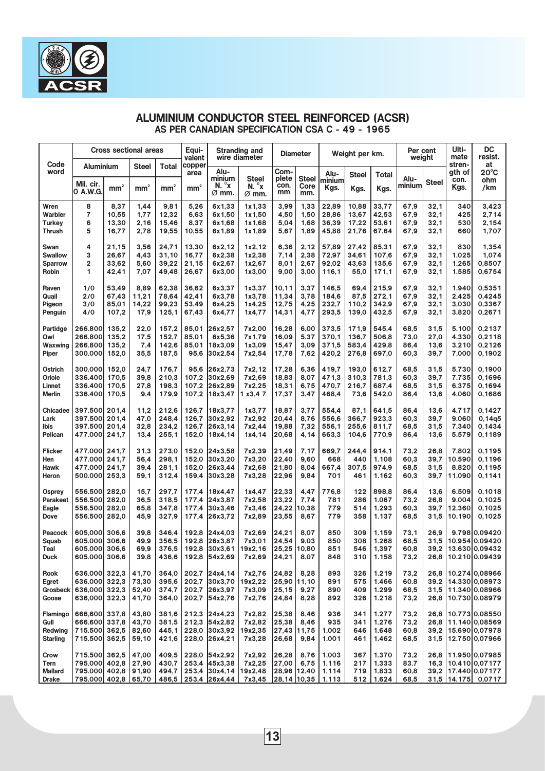|                 |                                |                             | <b>Cross sectional areas</b> |                 | Equi-<br>valent |                                  | <b>Stranding and</b><br>wire diameter |                | <b>Diameter</b> |                     | Weight per km. |                | Per cent<br>weight |              | Ulti-<br>mate            | DC<br>resist.                    |
|-----------------|--------------------------------|-----------------------------|------------------------------|-----------------|-----------------|----------------------------------|---------------------------------------|----------------|-----------------|---------------------|----------------|----------------|--------------------|--------------|--------------------------|----------------------------------|
| Code<br>word    | <b>Aluminium</b>               |                             | <b>Steel</b>                 | Total           | copper<br>area  | Alu-<br>minium                   | <b>Steel</b>                          | Com-<br>plete  | <b>Steel</b>    | Alu-<br>ninium      | Steel          | Total          | Alu-               |              | stren-<br>gth of<br>con. | at<br>$20^{\circ}$ C<br>ohm      |
|                 | Mil. cir.<br>10 A.W.G          | $mm^{\scriptscriptstyle 2}$ | mm <sup>2</sup>              | mm <sup>2</sup> | mm <sup>2</sup> | $N. \gamma$<br>$\varnothing$ mm. | $N. \gamma$<br>$\varnothing$ mm.      | con.<br>mm     | Core<br>mm.     | Kgs.                | Kgs.           | Kgs.           | minium             | <b>Steel</b> | Kgs.                     | /km                              |
| Wren            | 8                              | 8,37                        | 1,44                         | 9,81            | 5,26            | 6x1,33                           | 1x1,33                                | 3,99           | 1,33            | 22,89               | 10,88          | 33,77          | 67,9               | 32,1         | 340                      | 3,423                            |
| Warbler         | 7                              | 10,55                       | 1,77                         | 12,32           | 6,63            | 6x1,50                           | 1x1,50                                | 4,50           | 1,50            | 28,86               | 13,67          | 42,53          | 67,9               | 32,1         | 425                      | 2,714                            |
| Turkey          | 6                              | 13,30                       | 2,16                         | 15,46           | 8,37            | 6x1,68                           | 1x1,68                                | 5,04           | 1,68            | 36,39               | 17,22          | 53,61          | 67,9               | 32,1         | 530                      | 2,154                            |
| Thrush          | 5                              | 16,77                       | 2,78                         | 19,55           | 10,55           | 6x1,89                           | 1x1.89                                | 5,67           | 1,89            | 45,88               | 21,76          | 67,64          | 67,9               | 32,1         | 660                      | 1,707                            |
| Swan            | 4                              | 21,15                       | 3,56                         | 24,71           | 13,30           | 6x2.12                           | 1x2,12                                | 6,36           | 2,12            | 57,89               | 27,42          | 85,31          | 67,9               | 32,1         | 830                      | 1,354                            |
| <b>Swallow</b>  | 3                              | 26,67                       | 4,43                         | 31,10           | 16,77           | 6x2,38                           | 1x2,38                                | 7,14           | 2,38            | 72,97               | 34,61          | 107,6          | 67,9               | 32,1         | 1.025                    | 1.074                            |
| <b>Sparrow</b>  | 2                              | 33,62                       | 5.60                         | 39,22           | 21,15           | 6x2,67                           | 1x2,67                                | 8,01           | 2,67            | 92,02               | 43,63          | 135,6          | 67,9               | 32,1         | 1.265                    | 0,8507                           |
| Robin           | 1                              | 42,41                       | 7,07                         | 49,48           | 26,67           | 6x3,00                           | 1x3,00                                | 9,00           | 3,00            | 116,1               | 55,0           | 171.1          | 67,9               | 32,1         | 1.585                    | 0,6754                           |
| Raven           | 1/0                            | 53.49                       | 8,89                         | 62,38           | 36,62           | 6x3,37                           | 1x3,37                                | 10,11          | 3,37            | 146,5               | 69,4           | 215,9          | 67,9               | 32,1         | 1.940                    | 0,5351                           |
| Quail           | 2/0                            | 67,43                       | 11,21                        | 78,64           | 42,41           | 6x3,78                           | 1x3,78                                | 11,34          | 3,78            | 184,6               | 87,5           | 272.1          | 67,9               | 32,1         | 2.425                    | 0.4245                           |
| Pigeon          | 3/0                            | 85,01                       | 14,22                        | 99,23           | 53,49           | 6x4,25                           | 1x4,25                                | 12,75          | 4,25            | 232,7               | 110,2          | 342,9          | 67,9               | 32,1         | 3.030                    | 0,3367                           |
| Penguin         | 4/0                            | 107,2                       | 17,9                         | 125,1           | 67,43           | 6x4,77                           | 1x4,77                                | 14,31          | 4,77            | 293,5               | 139,0          | 432,5          | 67,9               | 32,1         | 3.820                    | 0,2671                           |
| Partidge        | 266.800                        | 135.2                       | 22,0                         | 157,2           | 85,01           | 26x2,57                          | 7x2,00                                | 16,28          | 6,00            | 373,5               | 171,9          | 545,4          | 68,5               | 31,5         | 5.100                    | 0,2137                           |
| Owl             | 266,800                        | 135.2                       | 17,5                         | 152,7           | 85.01           | 6x5,36                           | 7x1,79                                | 16,09          | 5,37            | 370,1               | 136,7          | 506.8          | 73,0               | 27,0         | 4.330                    | 0,2118                           |
| Waxwing         | 266,800                        | 135.2                       | 7,4                          | 142,6           | 85.01           | 18x3.09                          | 1x3,09                                | 15,47          | 3.09            | 371,5               | 583,4          | 429,8          | 86,4               | 13,6         | 3.210                    | 0,2126                           |
| Piper           | 300.000                        | 152,0                       | 35,5                         | 187,5           | 95,6            | 30x2,54                          | 7x2,54                                | 17,78          | 7,62            | 420,2               | 276,8          | 697,0          | 60,3               | 39,7         | 7.000                    | 0,1902                           |
| Ostrich         | 300.000                        | 152.0                       | 24,7                         | 176.7           | 95.6            | 26x2,73                          | 7x2.12                                | 17,28          | 6,36            | 419.7               | 193.0          | 612,7          | 68.5               | 31,5         | 5.730                    | 0.1900                           |
| Oriole          | 336,400                        | 170.5                       | 39.8                         | 210,3           | 107,2           | 30x2.69                          | 7x2,69                                | 18,83          | 8,07            | 471,3               | 310,3          | 781,3          | 60,3               | 39,7         | 7.735                    | 0.1696                           |
| Linnet          | 336.400                        | 170.5                       | 27,8                         | 198.3           | 107,2           | 26x2,89                          | 7x2,25                                | 18,31          | 6,75            | 470,7               | 216,7          | 687,4          | 68,5               | 31,5         | 6.375                    | 0,1694                           |
| <b>Merlin</b>   | 336.400                        | 170,5                       | 9,4                          | 179,9           | 107,2           | 18x3,47                          | 1 x3,4 7                              | 17,37          | 3,47            | 468,4               | 73,6           | 542,0          | 86,4               | 13,6         | 4.060                    | 0,1686                           |
|                 |                                |                             |                              |                 |                 |                                  |                                       |                |                 |                     |                |                |                    |              |                          |                                  |
| Chicadee        | 397.500                        | 201.4                       | 11,2                         | 212,6           | 126,7           | 18x3,77                          | 1x3,77                                | 18,87          | 3,77            | 554,4               | 87,1           | 641,5          | 86,4               | 13,6         | 4.717                    | 0,1427                           |
| Lark<br>Ibis    | 397.500<br>397.500             | 201.4<br>201.4              | 47,0<br>32,8                 | 248,4<br>234,2  | 126,7<br>126,7  | 30x2,92<br>26x3,14               | 7x2,92<br>7x2,44                      | 20,44<br>19,88 | 8,76<br>7,32    | 556,6<br>556,1      | 366,7<br>255,6 | 923,3<br>811,7 | 60,3<br>68,5       | 39,7<br>31,5 | 9.060<br>7.340           | 0,14q5<br>0,1434                 |
| Pelican         | 477.000                        | 241,7                       | 13,4                         | 255,1           | 152,0           | 18x4,14                          | 1x4.14                                | 20,68          | 4,14            | 663,3               | 104,6          | 770,9          | 86,4               | 13,6         | 5.579                    | 0,1189                           |
|                 |                                |                             |                              |                 |                 |                                  |                                       |                |                 |                     |                |                |                    |              |                          |                                  |
| Flicker         | 477.000                        | 241,7                       | 31,3                         | 273,0           | 152,0           | 24x3,58                          | 7x2,39                                | 21,49          | 7,17            | 669,7               | 244,4          | 914,1          | 73,2               | 26,8         | 7.802                    | 0,1195                           |
| Hen<br>Hawk     | 477.000<br>477.000             | 241,7<br>241,7              | 56,4<br>39,4                 | 298,1<br>281.1  | 152,0<br>152,0  | 30x3,20 <br>26x3,44              | 7x3,20<br>7x2,68                      | 22,40<br>21,80 | 9,60<br>8,04    | 668<br>667,4        | 440<br>307,5   | 1.108<br>974,9 | 60,3<br>68,5       | 39,7<br>31,5 | 10.590<br>8.820          | 0,1196<br>0,1195                 |
| Heron           | 500.000                        | 253,3                       | 59,1                         | 312,4           | 159,4           | 30x3,28                          | 7x3,28                                | 22,96          | 9,84            | 701                 | 461            | 1.162          | 60,3               | 39,7         | 11.090                   | 0,1141                           |
|                 |                                |                             |                              |                 |                 |                                  |                                       |                |                 |                     |                |                |                    |              |                          |                                  |
| Osprey          | 556.500                        | 282,0                       | 15,7                         | 297,7           | 177,4           | 18x4,47                          | 1x4,47                                | 22,33          | 4,47            | 776,8               | 122            | 898.8          | 86.4               | 13,6         | 6.509                    | 0,1018                           |
| Parakeet        | 556,500                        | 282,0                       | 36,5                         | 318,5           | 177,4           | 24x3,87                          | 7x2,58                                | 23,22          | 7,74            | 781                 | 286            | 1.067          | 73,2               | 26.8         | 9.004                    | 0.1025                           |
| Eagle           | 556.500                        | 282,0<br>282.0              | 65,8                         | 347,8           | 177,4           | 30x3.46                          | 7x3,46                                | 24.22          | 0,38            | 779                 | 514            | 1.293<br>1.137 | 60,3               | 39,7         | 12.360                   | 0,1025                           |
| Dove            | 556.500                        |                             | 45,9                         | 327,9           | 177,4           | 26x3,72                          | 7x2,89                                | 23,55          | 8,67            | 779                 | 358            |                | 68,5               | 31,5         | 10.190                   | 0,1025                           |
| Peacock         | 605,000                        | 306,6                       | 39.8                         | 346.4           | 192,8           | 24x4,03                          | 7x2,69                                | 24,21          | 8.07            | 850                 | 309            | 1.159          | 73.1               | 26.9         |                          | 9.798 0.09420                    |
| Squab           | 605.000                        | 306,6                       | 49,9                         | 356,5           | 192,8           | 26x3.87                          | 7x3,01                                | 24,54          | 9,03            | 850                 | 308            | 1.268          | 68,5               | 31,5         | 10.954                   | 10.09420                         |
| Teal            | 605.000                        | 306,6                       | 69,9                         | 376,5           | 192,8           | 30x3,61                          | 19x2,16                               | 25,25          | 10,80           | 851                 | 546            | 1,397          | 60.8               | 39,2         |                          | 13.630 0.09432                   |
| Duck            | 605.000 306,6                  |                             | 39,8                         | 436,6           |                 | 192,8 54x2,69                    | 7x2,69                                | 24,21          | 8,07            | 848                 | 310            | 1.158          | 73,2               | 26,8         |                          | 10.210 0,09439                   |
| Rook            | 636.000 322,3                  |                             | 41,70                        | 364,0           |                 | 202,7 24x4,14                    | 7x2,76                                | 24,82          | 8,28            | 893                 | 326            | 1.219          | 73,2               | 26,8         |                          | 10.274 0.08966                   |
| Egret           | 636,000                        | 322,3                       | 73,30                        | 395,6           | 202,7           | 30x3,70                          | 19x2,22                               | 25,90          | 11,10           | 891                 | 575            | 1.466          | 60.8               | 39.2         |                          | 14.330 0,08973                   |
| Grosbeck        | 636,000 322,3                  |                             | 52,40                        | 374,7           |                 | 202,7 26x3,97                    | 7x3,09                                | 25,15          | 9,27            | 890                 | 409            | 1.299          | 68,5               | 31,5         |                          | 11.340 0,08966                   |
| Goose           | 636,000 322,3                  |                             | 41,70                        | 364,0           |                 | 202,7 54x2,76                    | 7x2,76                                | 24,84          | 8,28            | 892                 | 326            | 1.218          | 73,2               | 26,8         |                          | 10.730 0.08979                   |
| Flamingo        | 666,600                        | 337,8                       | 43,80                        | 381,6           |                 | 212,3 24x4,23                    | 7x2,82                                | 25,38          | 8,46            | 936                 | 341            | 1.277          | 73,2               | 26,8         |                          | 10.773 0,08550                   |
| Gull            | 666.600                        | 337,8                       | 43,70                        | 381,5           |                 | 212.3 54x2.82                    | 7x2,82                                | 25,38          | 8,46            | 935                 | 341            | 1.276          | 73,2               | 26,8         |                          | 11.140 0,08569                   |
| Redwing         | 715.500                        | 362,5                       | 82,60                        | 445,1           | 228,0           | 30x3,92                          | 19x2,35                               | 27,43          | 11,75           | 1.002               | 646            | 1.648          | 60,8               | 39,2         |                          | 15.690 0,07978                   |
| <b>Starling</b> | 715.500 362,5                  |                             | 59,10                        | 421,6           |                 | 228,0 26x4,21                    | 7x3,28                                | 26,68          | 9,84            | 1.001               | 461            | 1.462          | 68,5               | 31,5         |                          | 12.750 0,07966                   |
|                 |                                |                             |                              |                 |                 |                                  |                                       |                |                 |                     |                |                |                    |              |                          |                                  |
| Crow<br>Tern    | 715.500 362,5<br>795.000 402,8 |                             | 47,00<br>27,90               | 409,5<br>430,7  |                 | 228.0 54x2.92<br>253.4 45x3.38   | 7x2,92<br>7x2,25                      | 26,28<br>27,00 | 8,76<br>6,75    | 1.003<br>1.116      | 367<br>217     | 1.370<br>1.333 | 73,2<br>83.7       | 26,8<br>16,3 |                          | 11.950 0,07985<br>10.410 0,07177 |
| <b>Mallard</b>  | 795.000 402,8 91,90            |                             |                              | 494,7           |                 | 253,4 30x4,14 19x2,48            |                                       |                |                 | 28,96 12,40 1.114   | 719            | 1.833          | 60,8               |              |                          | 39,2 17.440 0,07177              |
| <b>Drake</b>    | 795.000 402,8 65,70            |                             |                              |                 |                 | 486,5 253,4 26x4,44              | 7x3,45                                |                |                 | $28,14$ 10,35 1.113 |                | $512$   1.624  | 68,5               |              |                          | $31,5$   14.175   0,0717         |

#### ALUMINIUM CONDUCTOR STEEL REINFORCED (ACSR) AS PER CANADIAN SPECIFICATION CSA C - 49 - 1965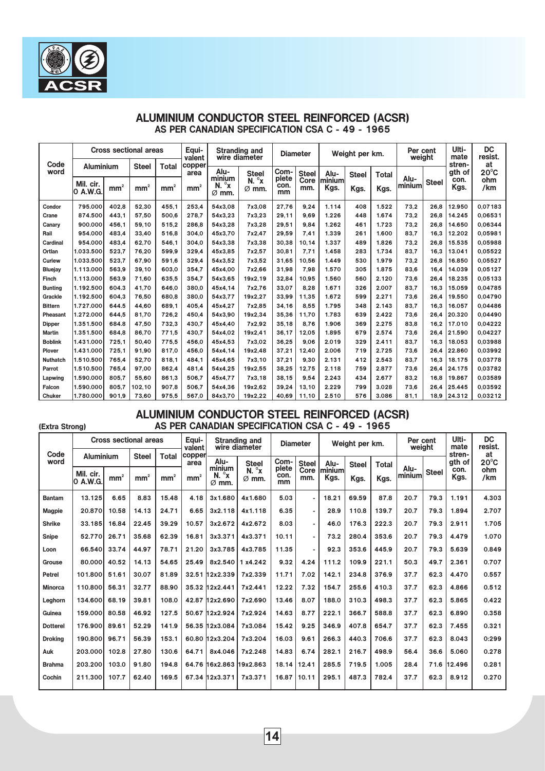|                 |                       |                 | <b>Cross sectional areas</b> |                 | Eaui-<br>valent |                                                                      | <b>Stranding and</b><br>wire diameter            |                     | <b>Diameter</b> |                | Weight per km. |              | Per cent<br>weight |              | Ulti-<br>mate    | DC<br>resist.        |
|-----------------|-----------------------|-----------------|------------------------------|-----------------|-----------------|----------------------------------------------------------------------|--------------------------------------------------|---------------------|-----------------|----------------|----------------|--------------|--------------------|--------------|------------------|----------------------|
| Code<br>word    | Aluminium             |                 | <b>Steel</b>                 | Total           | copper<br>area  | Alu-                                                                 | <b>Steel</b>                                     | Com-                | <b>Steel</b>    | Alu-           | <b>Steel</b>   | <b>Total</b> |                    |              | stren-<br>gth of | at<br>$20^{\circ}$ C |
|                 | Mil. cir.<br>0 A.W.G. | mm <sup>2</sup> | mm <sup>2</sup>              | mm <sup>2</sup> | mm <sup>2</sup> | minium<br>$\overline{\mathbf{x}}^{\circ}$<br>N.<br>$\varnothing$ mm. | $\sigma_{\mathbf{X}}$<br>N.<br>$\varnothing$ mm. | plete<br>con.<br>mm | Core<br>mm.     | ninium<br>Kgs. | Kgs.           | Kgs.         | Alu-<br>minium     | <b>Steel</b> | con.<br>Kgs.     | ohm<br>/km           |
| Condor          | 795.000               | 402.8           | 52.30                        | 455.1           | 253.4           | 54x3.08                                                              | 7x3.08                                           | 27.76               | 9.24            | 1.114          | 408            | 1.522        | 73.2               | 26,8         | 12.950           | 0.07183              |
| Crane           | 874.500               | 443.1           | 57,50                        | 500.6           | 278.7           | 54x3.23                                                              | 7x3,23                                           | 29,11               | 9.69            | 1.226          | 448            | 1.674        | 73.2               | 26.8         | 14.245           | 0.06531              |
| Canary          | 900.000               | 456.1           | 59,10                        | 515.2           | 286.8           | 54x3,28                                                              | 7x3,28                                           | 29.51               | 9.84            | 1.262          | 461            | 1.723        | 73,2               | 26.8         | 14.650           | 0.06344              |
| Rail            | 954.000               | 483.4           | 33.40                        | 516.8           | 304.0           | 45x3.70                                                              | 7x2,47                                           | 29.59               | 7.41            | 1.339          | 261            | 1.600        | 83.7               | 16.3         | 12.202           | 0.05981              |
| Cardinal        | 954.000               | 483.4           | 62.70                        | 546.1           | 304.0           | 54x3.38                                                              | 7x3.38                                           | 30.38               | 10.14           | 1.337          | 489            | 1.826        | 73.2               | 26,8         | 15.535           | 0.05988              |
| Ortlan          | 1.033.500             | 523.7           | 76.20                        | 599.9           | 329.4           | 45x3.85                                                              | 7x2.57                                           | 30.81               | 7.71            | 1.458          | 283            | 1.734        | 83.7               | 16.3         | 13.041           | 0.05522              |
| Curlew          | 1.033.500             | 523.7           | 67.90                        | 591.6           | 329.4           | 54x3.52                                                              | 7x3.52                                           | 31.65               | 10.56           | 1.449          | 530            | 1.979        | 73.2               | 26.8         | 16.850           | 0,05527              |
| <b>Bluejay</b>  | 1.113.000             | 563.9           | 39,10                        | 603.0           | 354.7           | 45x4.00                                                              | 7x2.66                                           | 31.98               | 7,98            | 1.570          | 305            | 1.875        | 83.6               | 16.4         | 14.039           | 0.05127              |
| Finch           | 1.113.000             | 563.9           | 71.60                        | 635.5           | 354,7           | 54x3,65                                                              | 19x2,19                                          | 32,84               | 10,95           | 1.560          | 560            | 2.120        | 73.6               | 26.4         | 18.235           | 0,05133              |
| <b>Bunting</b>  | 1.192.500             | 604.3           | 41.70                        | 646.0           | 380.0           | 45x4.14                                                              | 7x2.76                                           | 33.07               | 8.28            | 1.671          | 326            | 2.007        | 83.7               | 16.3         | 15.059           | 0.04785              |
| Grackle         | 1.192.500             | 604.3           | 76.50                        | 680.8           | 380.0           | 54x3.77                                                              | 19x2.27                                          | 33.99               | 11.35           | 1.672          | 599            | 2.271        | 73.6               | 26.4         | 19.550           | 0.04790              |
| <b>Bittern</b>  | 1.727.000             | 644.5           | 44.60                        | 689.1           | 405.4           | 45x4.27                                                              | 7x2.85                                           | 34.16               | 8.55            | 1.795          | 348            | 2.143        | 83.7               | 16.3         | 16.057           | 0.04486              |
| Pheasant        | 1.272.000             | 644.5           | 81.70                        | 726.2           | 450.4           | 54x3.90                                                              | 19x2,34                                          | 35.36               | 11.70           | 1.783          | 639            | 2.422        | 73.6               | 26.4         | 20,320           | 0.04490              |
| <b>Dipper</b>   | 1.351.500             | 684.8           | 47,50                        | 732.3           | 430.7           | 45x4,40                                                              | 7x2,92                                           | 35,18               | 8.76            | 1.906          | 369            | 2.275        | 83.8               | 16.2         | 17.010           | 0.04222              |
| <b>Martin</b>   | 1.351.500             | 684.8           | 86.70                        | 771.5           | 430.7           | 54x4.02                                                              | 19x2,41                                          | 36.17               | 12.05           | 1.895          | 679            | 2.574        | 73.6               | 26.4         | 21.590           | 0.04227              |
| <b>Boblink</b>  | 1.431.000             | 725.1           | 50.40                        | 775.5           | 456.0           | 45x4.53                                                              | 7x3.02                                           | 36.25               | 9.06            | 2.019          | 329            | 2.411        | 83.7               | 16.3         | 18.053           | 0.03988              |
| Plover          | 1.431.000             | 725.1           | 91.90                        | 817.0           | 456.0           | 54x4.14                                                              | 19x2.48                                          | 37.21               | 12,40           | 2.006          | 719            | 2.725        | 73.6               | 26.4         | 22,860           | 0.03992              |
| <b>Nuthatch</b> | 1.510.500             | 765.4           | 52,70                        | 818.1           | 484.1           | 45x4.65                                                              | 7x3,10                                           | 37.21               | 9,30            | 2.131          | 412            | 2.543        | 83.7               | 16.3         | 18.175           | 0.03778              |
| Parrot          | 1.510.500             | 765.4           | 97.00                        | 862.4           | 481.4           | 54x4.25                                                              | 19x2.55                                          | 38.25               | 12,75           | 2.118          | 759            | 2.877        | 73.6               | 26.4         | 24.175           | 0.03782              |
| Lapwing         | 1.590.000             | 805.7           | 55.60                        | 861.3           | 506.7           | 45x4,77                                                              | 7x3,18                                           | 38,15               | 9.54            | 2.243          | 434            | 2.677        | 83,2               | 16.8         | 19.867           | 0,03589              |
| Falcon          | 1.590.000             | 805.7           | 102.10                       | 907.8           | 506.7           | 54x4.36                                                              | 19x2.62                                          | 39.24               | 13.10           | 2.229          | 799            | 3.028        | 73.6               | 26.4         | 25.445           | 0.03592              |
| Chuker          | 1.780.000             | 901.9           | 73.60                        | 975.5           | 567.0           | 84x3.70                                                              | 19x2.22                                          | 40.69               | 11.10           | 2.510          | 576            | 3.086        | 81.1               | 18,9         | 124.312          | 0.03212              |

## ALUMINIUM CONDUCTOR STEEL REINFORCED (ACSR) AS PER CANADIAN SPECIFICATION CSA C - 49 - 1965

## ALUMINIUM CONDUCTOR STEEL REINFORCED (ACSR) AS PER CANADIAN SPECIFICATION CSA C - 49 - 1965

(Extra Strong)

|                 |                        |                 | <b>Cross sectional areas</b> |                 | Equi-<br>valent |                                            | <b>Stranding and</b><br>wire diameter |                     | <b>Diameter</b> |                        | Weight per km. |              | Per cent<br>weight     |              | Ulti-<br>mate    | <b>DC</b><br>resist. |
|-----------------|------------------------|-----------------|------------------------------|-----------------|-----------------|--------------------------------------------|---------------------------------------|---------------------|-----------------|------------------------|----------------|--------------|------------------------|--------------|------------------|----------------------|
| Code<br>word    | <b>Aluminium</b>       |                 | <b>Steel</b>                 | <b>Total</b>    | copper<br>area  | Alu-                                       | <b>Steel</b>                          | Com-                | <b>Steel</b>    | Alu-                   | <b>Steel</b>   | <b>Total</b> |                        |              | stren-<br>gth of | at<br>$20^{\circ}$ C |
|                 | Mil. cir.<br>10 A.W.G. | mm <sup>2</sup> | mm <sup>2</sup>              | mm <sup>2</sup> | mm <sup>2</sup> | minium<br>$N. \gamma$<br>$\varnothing$ mm. | $N. \gamma$<br>$\varnothing$ mm.      | plete<br>con.<br>mm | Core<br>mm.     | <b>Iminium</b><br>Kgs. | Kgs.           | Kgs.         | Alu-<br><b>Iminium</b> | <b>Steel</b> | con.<br>Kgs.     | ohm<br>/km           |
| <b>Bantam</b>   | 13.125                 | 6.65            | 8.83                         | 15.48           | 4.18            | 3x1.680                                    | 4x1.680                               | 5.03                | $\overline{a}$  | 18.21                  | 69.59          | 87.8         | 20.7                   | 79.3         | 1.191            | 4.303                |
| <b>Magpie</b>   | 20,870                 | 10.58           | 14.13                        | 24.71           | 6.65            | 3x2.118                                    | 4x1.118                               | 6.35                | $\blacksquare$  | 28.9                   | 110.8          | 139.7        | 20.7                   | 79.3         | 1.894            | 2.707                |
| Shrike          | 33.185                 | 16.84           | 22.45                        | 39.29           | 10.57           | 3x2.672                                    | 4x2.672                               | 8.03                | $\blacksquare$  | 46.0                   | 176.3          | 222.3        | 20.7                   | 79.3         | 2.911            | 1.705                |
| Snipe           | 52.770                 | 26.71           | 35.68                        | 62.39           | 16.81           | 3x3.371                                    | 4x3.371                               | 10.11               | $\blacksquare$  | 73.2                   | 280.4          | 353.6        | 20.7                   | 79.3         | 4.479            | 1.070                |
| Loon            | 66.540                 | 33.74           | 44.97                        | 78.71           | 21.20           | 3x3.785                                    | 4x3.785                               | 11.35               | $\blacksquare$  | 92.3                   | 353.6          | 445.9        | 20.7                   | 79.3         | 5.639            | 0.849                |
| Grouse          | 80,000                 | 40.52           | 14.13                        | 54.65           | 25.49           | 8x2.540                                    | 1 x4.242                              | 9.32                | 4.24            | 111.2                  | 109.9          | 221.1        | 50.3                   | 49.7         | 2.361            | 0.707                |
| Petrel          | 101.800                | 51.61           | 30.07                        | 81.89           |                 | 32.51 12x2.339                             | 7x2.339                               | 11.71               | 7.02            | 142.1                  | 234.8          | 376.9        | 37.7                   | 62.3         | 4.470            | 0.557                |
| <b>Minorca</b>  | 110,800                | 56.31           | 32.77                        | 88.90           |                 | 35.32 12x2.441                             | 7x2.441                               | 12.22               | 7.32            | 154.7                  | 255.6          | 410.3        | 37.7                   | 62.3         | 4.866            | 0.512                |
| Leghorn         | 134.600                | 68.19           | 39.81                        | 108.0           |                 | 42.87 12x2.690                             | 7x2.690                               | 13.46               | 8.07            | 188.0                  | 310.3          | 498.3        | 37.7                   | 62.3         | 5.865            | 0.422                |
| Guinea          | 159,000                | 80.58           | 46.92                        | 127.5           |                 | 50.67 12x2.924                             | 7x2.924                               | 14.63               | 8.77            | 222.1                  | 366.7          | 588.8        | 37.7                   | 62.3         | 6.890            | 0.358                |
| <b>Dotterel</b> | 176,900                | 89.61           | 52.29                        | 141.9           |                 | 56.35 12x3.084                             | 7x3.084                               | 15.42               | 9.25            | 346.9                  | 407.8          | 654.7        | 37.7                   | 62.3         | 7.455            | 0.321                |
| <b>Droking</b>  | 190,800                | 96.71           | 56.39                        | 153.1           |                 | 60.80 12x3.204                             | 7x3.204                               | 16.03               | 9.61            | 266.3                  | 440.3          | 706.6        | 37.7                   | 62.3         | 8.043            | 0:299                |
| Auk             | 203.000                | 102.8           | 27.80                        | 130.6           | 64.71           | 8x4.046                                    | 7x2.248                               | 14.83               | 6.74            | 282.1                  | 216.7          | 498.9        | 56.4                   | 36.6         | 5.060            | 0.278                |
| <b>Brahma</b>   | 203.200                | 103.0           | 91.80                        | 194.8           |                 |                                            | 64.76 16x2.863 19x2.863               | 18.14               | 12.41           | 285.5                  | 719.5          | 1.005        | 28.4                   | 71.6         | 12,496           | 0.281                |
| Cochin          | 211.300                | 107.7           | 62.40                        | 169.5           |                 | 67.34 12x3.371                             | 7x3.371                               | 16.87               | 10.11           | 295.1                  | 487.3          | 782.4        | 37.7                   | 62.3         | 8.912            | 0.270                |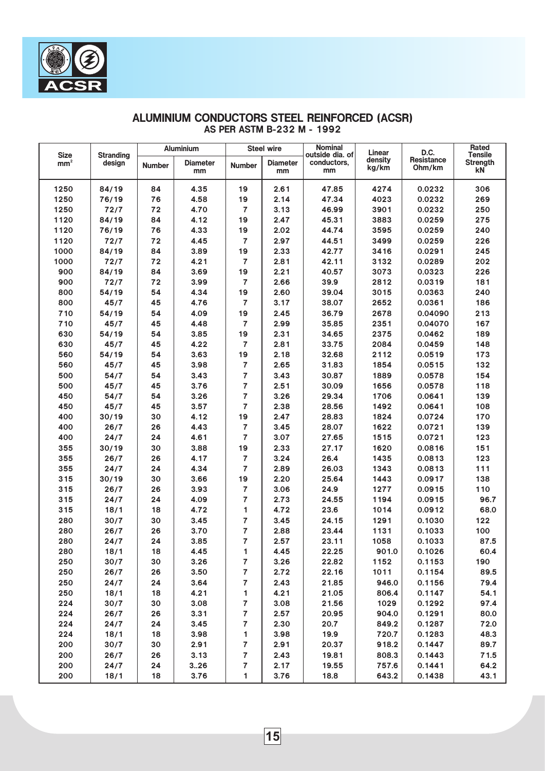|                                |                            |               | <b>Aluminium</b> |                | <b>Steel wire</b> | <b>Nominal</b>                 | Linear  | D.C.              | Rated                             |
|--------------------------------|----------------------------|---------------|------------------|----------------|-------------------|--------------------------------|---------|-------------------|-----------------------------------|
| <b>Size</b><br>mm <sup>2</sup> | <b>Stranding</b><br>design | <b>Number</b> | <b>Diameter</b>  | <b>Number</b>  | <b>Diameter</b>   | outside dia. of<br>conductors, | density | <b>Resistance</b> | <b>Tensile</b><br><b>Strength</b> |
|                                |                            |               | mm               |                | mm                | mm                             | kg/km   | Ohm/km            | k <sub>N</sub>                    |
|                                |                            |               |                  |                |                   |                                |         |                   |                                   |
| 1250                           | 84/19                      | 84            | 4.35             | 19             | 2.61              | 47.85                          | 4274    | 0.0232            | 306                               |
| 1250                           | 76/19                      | 76            | 4.58             | 19             | 2.14              | 47.34                          | 4023    | 0.0232            | 269                               |
| 1250                           | 72/7                       | 72            | 4.70             | 7              | 3.13              | 46.99                          | 3901    | 0.0232            | 250                               |
| 1120                           | 84/19                      | 84            | 4.12             | 19             | 2.47              | 45.31                          | 3883    | 0.0259            | 275                               |
| 1120                           | 76/19                      | 76            | 4.33             | 19             | 2.02              | 44.74                          | 3595    | 0.0259            | 240                               |
| 1120                           | 72/7                       | 72            | 4.45             | 7              | 2.97              | 44.51                          | 3499    | 0.0259            | 226                               |
| 1000                           | 84/19                      | 84            | 3.89             | 19             | 2.33              | 42.77                          | 3416    | 0.0291            | 245                               |
| 1000                           | 72/7                       | 72            | 4.21             | 7              | 2.81              | 42.11                          | 3132    | 0.0289            | 202                               |
| 900                            | 84/19                      | 84            | 3.69             | 19             | 2.21              | 40.57                          | 3073    | 0.0323            | 226                               |
| 900                            | 72/7                       | 72            | 3.99             | 7              | 2.66              | 39.9                           | 2812    | 0.0319            | 181                               |
| 800                            | 54/19                      | 54            | 4.34             | 19             | 2.60              | 39.04                          | 3015    | 0.0363            | 240                               |
| 800                            | 45/7                       | 45            | 4.76             | 7              | 3.17              | 38.07                          | 2652    | 0.0361            | 186                               |
| 710                            | 54/19                      | 54            | 4.09             | 19             | 2.45              | 36.79                          | 2678    | 0.04090           | 213                               |
| 710                            | 45/7                       | 45            | 4.48             | 7              | 2.99              | 35.85                          | 2351    | 0.04070           | 167                               |
| 630                            | 54/19                      | 54            | 3.85             | 19             | 2.31              | 34.65                          | 2375    | 0.0462            | 189                               |
| 630                            | 45/7                       | 45            | 4.22             | $\overline{7}$ | 2.81              | 33.75                          | 2084    | 0.0459            | 148                               |
| 560                            | 54/19                      | 54            | 3.63             | 19             | 2.18              | 32.68                          | 2112    | 0.0519            | 173                               |
| 560                            | 45/7                       | 45            | 3.98             | 7              | 2.65              | 31.83                          | 1854    | 0.0515            | 132                               |
| 500                            | 54/7                       | 54            | 3.43             | $\overline{7}$ | 3.43              | 30.87                          | 1889    | 0.0578            | 154                               |
| 500                            | 45/7                       | 45            | 3.76             | 7              | 2.51              | 30.09                          | 1656    | 0.0578            | 118                               |
| 450                            | 54/7                       | 54            | 3.26             | 7              | 3.26              | 29.34                          | 1706    | 0.0641            | 139                               |
| 450                            | 45/7                       | 45            | 3.57             | 7              | 2.38              | 28.56                          | 1492    | 0.0641            | 108                               |
| 400                            | 30/19                      | 30            | 4.12             | 19             | 2.47              | 28.83                          | 1824    | 0.0724            | 170                               |
| 400                            | 26/7                       | 26            | 4.43             | $\overline{7}$ | 3.45              | 28.07                          | 1622    | 0.0721            | 139                               |
| 400                            | 24/7                       | 24            | 4.61             | $\overline{7}$ | 3.07              | 27.65                          | 1515    | 0.0721            | 123                               |
| 355                            | 30/19                      | 30            | 3.88             | 19             | 2.33              | 27.17                          | 1620    | 0.0816            | 151                               |
| 355                            | 26/7                       | 26            | 4.17             | 7              | 3.24              | 26.4                           | 1435    | 0.0813            | 123                               |
| 355                            | 24/7                       | 24            | 4.34             | $\overline{7}$ | 2.89              | 26.03                          | 1343    | 0.0813            | 111                               |
| 315                            | 30/19                      | 30            | 3.66             | 19             | 2.20              | 25.64                          | 1443    | 0.0917            | 138                               |
| 315                            | 26/7                       | 26            | 3.93             | 7              | 3.06              | 24.9                           | 1277    | 0.0915            | 110                               |
| 315                            | 24/7                       | 24            | 4.09             | $\overline{7}$ | 2.73              | 24.55                          | 1194    | 0.0915            | 96.7                              |
| 315                            | 18/1                       | 18            | 4.72             | 1              | 4.72              | 23.6                           | 1014    | 0.0912            | 68.0                              |
| 280                            | 30/7                       | 30            | 3.45             | $\overline{7}$ | 3.45              | 24.15                          | 1291    | 0.1030            | 122                               |
| 280                            | 26/7                       | 26            | 3.70             | $\overline{7}$ | 2.88              | 23.44                          | 1131    | 0.1033            | 100                               |
| 280                            | 24/7                       | 24            | 3.85             | 7              | 2.57              | 23.11                          | 1058    | 0.1033            | 87.5                              |
| 280                            | 18/1                       | 18            | 4.45             | $\mathbf{1}$   | 4.45              | 22.25                          | 901.0   | 0.1026            | 60.4                              |
| 250                            | 30/7                       | 30            | 3.26             | $\overline{7}$ | 3.26              | 22.82                          | 1152    | 0.1153            | 190                               |
| 250                            | 26/7                       | 26            | 3.50             | $\overline{7}$ | 2.72              | 22.16                          | 1011    | 0.1154            | 89.5                              |
| 250                            | 24/7                       | 24            | 3.64             | $\overline{7}$ | 2.43              | 21.85                          | 946.0   | 0.1156            | 79.4                              |
| 250                            | 18/1                       | 18            | 4.21             | $\mathbf{1}$   | 4.21              | 21.05                          | 806.4   | 0.1147            | 54.1                              |
| 224                            | 30/7                       | 30            | 3.08             | $\overline{7}$ | 3.08              | 21.56                          | 1029    | 0.1292            | 97.4                              |
| 224                            | 26/7                       | 26            | 3.31             | $\overline{7}$ | 2.57              | 20.95                          | 904.0   | 0.1291            | 80.0                              |
| 224                            | 24/7                       | 24            | 3.45             | $\overline{7}$ | 2.30              | 20.7                           | 849.2   | 0.1287            | 72.0                              |
| 224                            | 18/1                       | 18            | 3.98             | $\mathbf{1}$   | 3.98              | 19.9                           | 720.7   | 0.1283            | 48.3                              |
| 200                            | 30/7                       | 30            | 2.91             | $\overline{7}$ | 2.91              | 20.37                          | 918.2   | 0.1447            | 89.7                              |
| 200                            | 26/7                       | 26            | 3.13             | $\overline{7}$ | 2.43              | 19.81                          | 808.3   | 0.1443            | 71.5                              |
| 200                            | 24/7                       | 24            | 3.26             | $\overline{7}$ | 2.17              | 19.55                          | 757.6   | 0.1441            | 64.2                              |
| 200                            | 18/1                       | 18            | 3.76             | $\mathbf{1}$   | 3.76              | 18.8                           | 643.2   | 0.1438            | 43.1                              |

#### ALUMINIUM CONDUCTORS STEEL REINFORCED (ACSR) AS PER ASTM B-232 M - 1992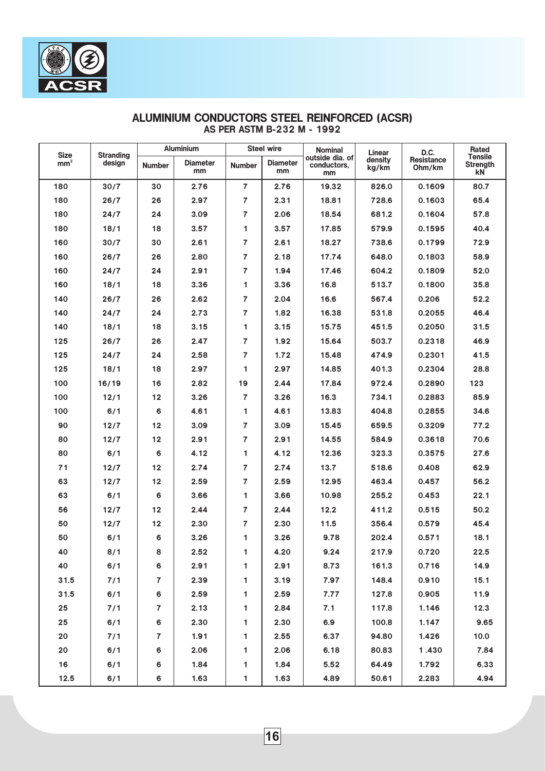| <b>Size</b>     | <b>Stranding</b> |                | <b>Aluminium</b>      |                | <b>Steel wire</b>     | <b>Nominal</b>                       | Linear           | D.C.                        | Rated                                   |
|-----------------|------------------|----------------|-----------------------|----------------|-----------------------|--------------------------------------|------------------|-----------------------------|-----------------------------------------|
| mm <sup>2</sup> | design           | <b>Number</b>  | <b>Diameter</b><br>mm | <b>Number</b>  | <b>Diameter</b><br>mm | outside dia. of<br>conductors,<br>mm | density<br>kg/km | <b>Resistance</b><br>Ohm/km | <b>Tensile</b><br><b>Strength</b><br>kN |
| 180             | 30/7             | 30             | 2.76                  | $\overline{7}$ | 2.76                  | 19.32                                | 826.0            | 0.1609                      | 80.7                                    |
| 180             | 26/7             | 26             | 2.97                  | $\overline{7}$ | 2.31                  | 18.81                                | 728.6            | 0.1603                      | 65.4                                    |
| 180             | 24/7             | 24             | 3.09                  | $\overline{7}$ | 2.06                  | 18.54                                | 681.2            | 0.1604                      | 57.8                                    |
| 180             | 18/1             | 18             | 3.57                  | 1              | 3.57                  | 17.85                                | 579.9            | 0.1595                      | 40.4                                    |
| 160             | 30/7             | 30             | 2.61                  | $\overline{7}$ | 2.61                  | 18.27                                | 738.6            | 0.1799                      | 72.9                                    |
| 160             | 26/7             | 26             | 2.80                  | $\overline{7}$ | 2.18                  | 17.74                                | 648.0            | 0.1803                      | 58.9                                    |
| 160             | 24/7             | 24             | 2.91                  | $\overline{7}$ | 1.94                  | 17.46                                | 604.2            | 0.1809                      | 52.0                                    |
| 160             | 18/1             | 18             | 3.36                  | 1              | 3.36                  | 16.8                                 | 513.7            | 0.1800                      | 35.8                                    |
| 140             | 26/7             | 26             | 2.62                  | $\overline{7}$ | 2.04                  | 16.6                                 | 567.4            | 0.206                       | 52.2                                    |
| 140             | 24/7             | 24             | 2.73                  | $\overline{7}$ | 1.82                  | 16.38                                | 531.8            | 0.2055                      | 46.4                                    |
| 140             | 18/1             | 18             | 3.15                  | 1              | 3.15                  | 15.75                                | 451.5            | 0.2050                      | 31.5                                    |
| 125             | 26/7             | 26             | 2.47                  | $\overline{7}$ | 1.92                  | 15.64                                | 503.7            | 0.2318                      | 46.9                                    |
| 125             | 24/7             | 24             | 2.58                  | $\overline{7}$ | 1.72                  | 15.48                                | 474.9            | 0.2301                      | 41.5                                    |
| 125             | 18/1             | 18             | 2.97                  | 1              | 2.97                  | 14.85                                | 401.3            | 0.2304                      | 28.8                                    |
| 100             | 16/19            | 16             | 2.82                  | 19             | 2.44                  | 17.84                                | 972.4            | 0.2890                      | 123                                     |
| 100             | 12/1             | 12             | 3.26                  | $\overline{7}$ | 3.26                  | 16.3                                 | 734.1            | 0.2883                      | 85.9                                    |
| 100             | 6/1              | 6              | 4.61                  | 1              | 4.61                  | 13.83                                | 404.8            | 0.2855                      | 34.6                                    |
| 90              | 12/7             | 12             | 3.09                  | $\overline{7}$ | 3.09                  | 15.45                                | 659.5            | 0.3209                      | 77.2                                    |
| 80              | 12/7             | 12             | 2.91                  | 7              | 2.91                  | 14.55                                | 584.9            | 0.3618                      | 70.6                                    |
| 80              | 6/1              | 6              | 4.12                  | 1.             | 4.12                  | 12.36                                | 323.3            | 0.3575                      | 27.6                                    |
| 71              | 12/7             | 12             | 2.74                  | $\overline{7}$ | 2.74                  | 13.7                                 | 518.6            | 0.408                       | 62.9                                    |
| 63              | 12/7             | 12             | 2.59                  | $\overline{7}$ | 2.59                  | 12.95                                | 463.4            | 0.457                       | 56.2                                    |
| 63              | 6/1              | 6              | 3.66                  | 1              | 3.66                  | 10.98                                | 255.2            | 0.453                       | 22.1                                    |
| 56              | 12/7             | 12             | 2.44                  | $\overline{7}$ | 2.44                  | 12.2                                 | 411.2            | 0.515                       | 50.2                                    |
| 50              | 12/7             | 12             | 2.30                  | 7              | 2.30                  | 11.5                                 | 356.4            | 0.579                       | 45.4                                    |
| 50              | 6/1              | 6              | 3.26                  | 1              | 3.26                  | 9.78                                 | 202.4            | 0.571                       | 18.1                                    |
| 40              | 8/1              | 8              | 2.52                  | $\mathbf{1}$   | 4.20                  | 9.24                                 | 217.9            | 0.720                       | 22.5                                    |
| 40              | 6/1              | 6              | 2.91                  | $\mathbf{1}$   | 2.91                  | 8.73                                 | 161.3            | 0.716                       | 14.9                                    |
| 31.5            | 7/1              | $\overline{7}$ | 2.39                  | $\mathbf{1}$   | 3.19                  | 7.97                                 | 148.4            | 0.910                       | 15.1                                    |
| 31.5            | 6/1              | 6              | 2.59                  | $\mathbf{1}$   | 2.59                  | 7.77                                 | 127.8            | 0.905                       | 11.9                                    |
| 25 <sub>2</sub> | 7/1              | $\overline{7}$ | 2.13                  | $\mathbf{1}$   | 2.84                  | 7.1                                  | 117.8            | 1.146                       | 12.3                                    |
| 25              | 6/1              | 6              | 2.30                  | $\mathbf{1}$   | 2.30                  | 6.9                                  | 100.8            | 1.147                       | 9.65                                    |
| 20              | 7/1              | $\overline{7}$ | 1.91                  | $\overline{1}$ | 2.55                  | 6.37                                 | 94.80            | 1.426                       | 10.0                                    |
| 20              | 6/1              | 6              | 2.06                  | $\mathbf{1}$   | 2.06                  | 6.18                                 | 80.83            | 1.430                       | 7.84                                    |
| 16              | 6/1              | 6              | 1.84                  | $\mathbf{1}$   | 1.84                  | 5.52                                 | 64.49            | 1.792                       | 6.33                                    |
| 12.5            | 6/1              | 6              | 1.63                  | $\mathbf{1}$   | 1.63                  | 4.89                                 | 50.61            | 2.283                       | 4.94                                    |

# ALUMINIUM CONDUCTORS STEEL REINFORCED (ACSR) AS PER ASTM B-232 M - 1992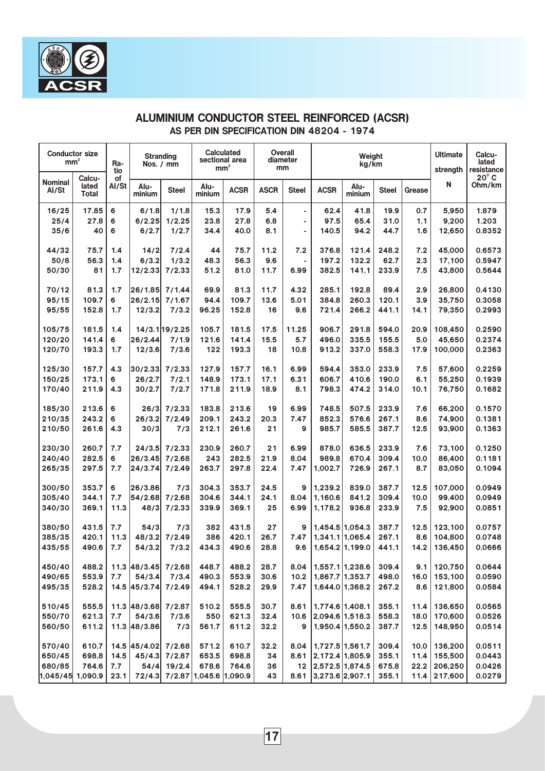| mm <sup>2</sup>         | <b>Conductor size</b>    | Ra-<br>tio  | <b>Stranding</b><br>Nos. / mm |               |                        | <b>Calculated</b><br>sectional area<br>$mm^{\scriptscriptstyle 2}$ |             | <b>Overall</b><br>diameter<br>mm |                    | Weight<br>kg/km |              |        | <b>Ultimate</b><br>strength | Calcu-<br>lated<br>resistance |
|-------------------------|--------------------------|-------------|-------------------------------|---------------|------------------------|--------------------------------------------------------------------|-------------|----------------------------------|--------------------|-----------------|--------------|--------|-----------------------------|-------------------------------|
| <b>Nominal</b><br>Al/St | Calcu-<br>lated<br>Total | οf<br>Al/St | Alu-<br>minium                | <b>Steel</b>  | Alu-<br>minium         | <b>ACSR</b>                                                        | <b>ASCR</b> | <b>Steel</b>                     | <b>ACSR</b>        | Alu-<br>minium  | <b>Steel</b> | Grease | N                           | $20^{\circ}$ C<br>Ohm/km      |
| 16/25                   | 17.85                    | 6           | 6/1.8                         | 1/1.8         | 15.3                   | 17.9                                                               | 5.4         | ۰                                | 62.4               | 41.8            | 19.9         | 0.7    | 5,950                       | 1.879                         |
| 25/4                    | 27.8                     | 6           | 6/2.25                        | 1/2.25        | 23.8                   | 27.8                                                               | 6.8         | ٠                                | 97.5               | 65.4            | 31.0         | 1.1    | 9,200                       | 1.203                         |
| 35/6                    | 40                       | 6           | 6/2.7                         | 1/2.7         | 34.4                   | 40.0                                                               | 8.1         | ٠                                | 140.5              | 94.2            | 44.7         | 1.6    | 12,650                      | 0.8352                        |
| 44/32                   | 75.7                     | 1.4         | 14/2                          | 7/2.4         | 44                     | 75.7                                                               | 11.2        | 7.2                              | 376.8              | 121.4           | 248.2        | 7.2    | 45.000                      | 0.6573                        |
| 50/8                    | 56.3                     | 1.4         | 6/3.2                         | 1/3.2         | 48.3                   | 56.3                                                               | 9.6         |                                  | 197.2              | 132.2           | 62.7         | 2.3    | 17,100                      | 0.5947                        |
| 50/30                   | 81                       | 1.7         | 12/2.33                       | 7/2.33        | 51.2                   | 81.0                                                               | 11.7        | 6.99                             | 382.5              | 141.1           | 233.9        | 7.5    | 43,800                      | 0.5644                        |
| 70/12                   | 81.3                     | 1.7         | 26/1.85                       | 7/1.44        | 69.9                   | 81.3                                                               | 11.7        | 4.32                             | 285.1              | 192.8           | 89.4         | 2.9    | 26,800                      | 0.4130                        |
| 95/15                   | 109.7                    | 6           | 26/2.15                       | 7/1.67        | 94.4                   | 109.7                                                              | 13.6        | 5.01                             | 384.8              | 260.3           | 120.1        | 3.9    | 35,750                      | 0.3058                        |
| 95/55                   | 152.8                    | 1.7         | 12/3.2                        | 7/3.2         | 96.25                  | 152.8                                                              | 16          | 9.6                              | 721.4              | 266.2           | 441.1        | 14.1   | 79,350                      | 0.2993                        |
| 105/75                  | 181.5                    | 1.4         |                               | 14/3.119/2.25 | 105.7                  | 181.5                                                              | 17.5        | 11.25                            | 906.7              | 291.8           | 594.0        | 20.9   | 108,450                     | 0.2590                        |
| 120/20                  | 141.4                    | 6           | 26/2.44                       | 7/1.9         | 121.6                  | 141.4                                                              | 15.5        | 5.7                              | 496.0              | 335.5           | 155.5        | 5.0    | 45,650                      | 0.2374                        |
| 120/70                  | 193.3                    | 1.7         | 12/3.6                        | 7/3.6         | 122                    | 193.3                                                              | 18          | 10.8                             | 913.2              | 337.0           | 558.3        | 17.9   | 100,000                     | 0.2363                        |
| 125/30                  | 157.7                    | 4.3         | 30/2.33                       | 7/2.33        | 127.9                  | 157.7                                                              | 16.1        | 6.99                             | 594.4              | 353.0           | 233.9        | 7.5    | 57,600                      | 0.2259                        |
| 150/25                  | 173.1                    | 6           | 26/2.7                        | 7/2.1         | 148.9                  | 173.1                                                              | 17.1        | 6.31                             | 606.7              | 410.6           | 190.0        | 6.1    | 55,250                      | 0.1939                        |
| 170/40                  | 211.9                    | 4.3         | 30/2.7                        | 7/2.7         | 171.8                  | 211.9                                                              | 18.9        | 8.1                              | 798.3              | 474.2           | 314.0        | 10.1   | 76,750                      | 0.1682                        |
| 185/30                  | 213.6                    | 6           | 26/3                          | 7/2.33        | 183.8                  | 213.6                                                              | 19          | 6.99                             | 748.5              | 507.5           | 233.9        | 7.6    | 66,200                      | 0.1570                        |
| 210/35                  | 243.2                    | 6           | 26/3.2                        | 7/2.49        | 209.1                  | 243.2                                                              | 20.3        | 7.47                             | 852.3              | 576.6           | 267.1        | 8.6    | 74,900                      | 0.1381                        |
| 210/50                  | 261.6                    | 4.3         | 30/3                          | 7/3           | 212.1                  | 261.6                                                              | 21          | 9                                | 985.7              | 585.5           | 387.7        | 12.5   | 93,900                      | 0.1363                        |
| 230/30                  | 260.7                    | 7.7         | 24/3.5                        | 7/2.33        | 230.9                  | 260.7                                                              | 21          | 6.99                             | 878.0              | 636.5           | 233.9        | 7.6    | 73,100                      | 0.1250                        |
| 240/40                  | 282.5                    | 6           | 26/3.45                       | 7/2.68        | 243                    | 282.5                                                              | 21.9        | 8.04                             | 989.8              | 670.4           | 309.4        | 10.0   | 86,400                      | 0.1181                        |
| 265/35                  | 297.5                    | 7.7         | 24/3.74                       | 7/2.49        | 263.7                  | 297.8                                                              | 22.4        | 7.47                             | 1,002.7            | 726.9           | 267.1        | 8.7    | 83,050                      | 0.1094                        |
| 300/50                  | 353.7                    | 6           | 26/3.86                       | 7/3           | 304.3                  | 353.7                                                              | 24.5        | $\mathbf{9}$                     | 1,239.2            | 839.0           | 387.7        | 12.5   | 107,000                     | 0.0949                        |
| 305/40                  | 344.1                    | 7.7         | 54/2.68                       | 7/2.68        | 304.6                  | 344.1                                                              | 24.1        | 8.04                             | 1,160.6            | 841.2           | 309.4        | 10.0   | 99.400                      | 0.0949                        |
| 340/30                  | 369.1                    | 11.3        | 48/3                          | 7/2.33        | 339.9                  | 369.1                                                              | 25          | 6.99                             | 1,178.2            | 936.8           | 233.9        | 7.5    | 92,900                      | 0.0851                        |
| 380/50                  | 431.5                    | 7.7         | 54/3                          | 7/3           | 382                    | 431.5                                                              | 27          | 9                                | 1.454.5 1.054.3    |                 | 387.7        | 12.5   | 123,100                     | 0.0757                        |
| 385/35                  | 420.1                    | 11.3        | 48/3.2                        | 7/2.49        | 386                    | 420.1                                                              | 26.7        | 7.47                             | 1,341.1 1,065.4    |                 | 267.1        | 8.6    | 104,800                     | 0.0748                        |
| 435/55                  | 490.6                    | 7.7         | 54/3.2                        | 7/3.2         | 434.3                  | 490.6                                                              | 28.8        | 9.6                              | 1.654.2 1.199.0    |                 | 441.1        | 14.2   | 136,450                     | 0.0666                        |
| 450/40                  | 488.2                    |             | 11.3 48/3.45 7/2.68           |               | 448.7                  | 488.2                                                              | 28.7        | 8.04                             | 1,557.1 1,238.6    |                 | 309.4        |        | $9.1$   120,750             | 0.0644                        |
| 490/65                  | 553.9                    | 7.7         | 54/3.4                        | 7/3.4         | 490.3                  | 553.9                                                              | 30.6        | 10.2                             | 1,867.7 1,353.7    |                 | 498.0        | 16.0   | 153,100                     | 0.0590                        |
| 495/35                  | 528.2                    |             | 14.5 45/3.74                  | 7/2.49        | 494.1                  | 528.2                                                              | 29.9        | 7.47                             | 1,644.0 1,368.2    |                 | 267.2        | 8.6    | 121,800                     | 0.0584                        |
| 510/45                  | 555.5                    |             | 11.3 48/3.68 7/2.87           |               | 510.2                  | 555.5                                                              | 30.7        | 8.61                             | 1,774.6 1,408.1    |                 | 355.1        | 11.4   | 136,650                     | 0.0565                        |
| 550/70                  | 621.3                    | 7.7         | 54/3.6                        | 7/3.6         | 550                    | 621.3                                                              | 32.4        | 10.6                             | 2,094.6 1,518.3    |                 | 558.3        | 18.0   | 170,600                     | 0.0526                        |
| 560/50                  | 611.2                    |             | 11.3 48/3.86                  | 7/3           | 561.7                  | 611.2                                                              | 32.2        | 9                                | $1,950.4$ 1,550.2  |                 | 387.7        | 12.5   | 148,950                     | 0.0514                        |
| 570/40                  | 610.7                    |             | 14.5 45/4.02 7/2.68           |               | 571.2                  | 610.7                                                              | 32.2        | 8.04                             | 1,727.5 1,561.7    |                 | 309.4        | 10.0   | 136,200                     | 0.0511                        |
| 650/45                  | 698.8                    | 14.5        | 45/4.3                        | 7/2.87        | 653.5                  | 698.8                                                              | 34          | 8.61                             | 2,172.4 1,805.9    |                 | 355.1        | 11.4   | 155,500                     | 0.0443                        |
| 680/85                  | 764.6                    | 7.7         | 54/4                          | 19/2.4        | 678.6                  | 764.6                                                              | 36          |                                  | 12 2,572.5 1,874.5 |                 | 675.8        | 22.2   | 206,250                     | 0.0426                        |
| 1,045/45 1,090.9        |                          | 23.1        | 72/4.3                        |               | 7/2.87 1,045.6 1,090.9 |                                                                    | 43          | 8.61                             | $3,273.6$ 2,907.1  |                 | 355.1        | 11.4   | 217,600                     | 0.0279                        |

# ALUMINIUM CONDUCTOR STEEL REINFORCED (ACSR) AS PER DIN SPECIFICATION DIN 48204 - 1974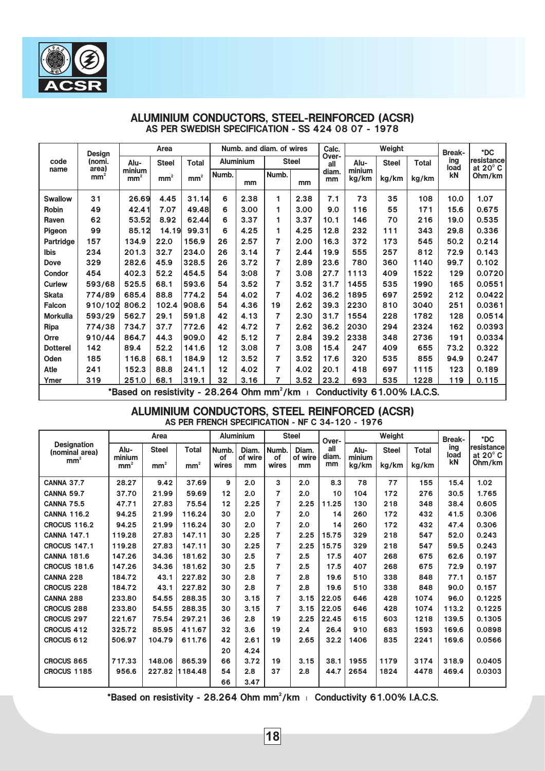

|                 | Design                   |                                                        | Area            |                 |         |                  | Numb. and diam. of wires |              | Calc.        |                              | Weight       |              | <b>Break-</b> | *DC                              |
|-----------------|--------------------------|--------------------------------------------------------|-----------------|-----------------|---------|------------------|--------------------------|--------------|--------------|------------------------------|--------------|--------------|---------------|----------------------------------|
| code            | (nomi.                   | Alu-                                                   | <b>Steel</b>    | <b>Total</b>    |         | <b>Aluminium</b> |                          | <b>Steel</b> | Over-<br>all | Alu-                         | <b>Steel</b> | <b>Total</b> | ing<br>load   | resistance <br>at $20^{\circ}$ C |
| name            | area)<br>mm <sup>-</sup> | minium<br>mm <sup>2</sup>                              | mm <sup>2</sup> | mm <sup>2</sup> | Numb.   | mm               | Numb.                    | mm           | diam.<br>mm  | minium<br>kg/km              | kg/km        | kg/km        | kN            | Ohm/km                           |
| <b>Swallow</b>  | 31                       | 26.69                                                  | 4.45            | 31.14           | 6       | 2.38             | 1                        | 2.38         | 7.1          | 73                           | 35           | 108          | 10.0          | 1.07                             |
| Robin           | 49                       | 42.41                                                  | 7.07            | 49.48           | 6       | 3.00             | 1                        | 3.00         | 9.0          | 116                          | 55           | 171          | 15.6          | 0.675                            |
| Raven           | 62                       | 53.52                                                  | 8.92            | 62.44           | 6       | 3.37             | 1                        | 3.37         | 10.1         | 146                          | 70           | 216          | 19.0          | 0.535                            |
| Pigeon          | 99                       | 85.12                                                  | 14.19           | 99.31           | 6       | 4.25             | 1                        | 4.25         | 12.8         | 232                          | 111          | 343          | 29.8          | 0.336                            |
| Partridge       | 157                      | 134.9                                                  | 22.0            | 156.9           | 26      | 2.57             | 7                        | 2.00         | 16.3         | 372                          | 173          | 545          | 50.2          | 0.214                            |
| <b>Ibis</b>     | 234                      | 201.3                                                  | 32.7            | 234.0           | 26      | 3.14             | 7                        | 2.44         | 19.9         | 555                          | 257          | 812          | 72.9          | 0.143                            |
| <b>Dove</b>     | 329                      | 282.6                                                  | 45.9            | 328.5           | 26      | 3.72             | 7                        | 2.89         | 23.6         | 780                          | 360          | 1140         | 99.7          | 0.102                            |
| Condor          | 454                      | 402.3                                                  | 52.2            | 454.5           | 54      | 3:08             | 7                        | 3.08         | 27.7         | 1113                         | 409          | 1522         | 129           | 0.0720                           |
| Curlew          | 593/68                   | 525.5                                                  | 68.1            | 593.6           | 54      | 3.52             | 7                        | 3.52         | 31.7         | 1455                         | 535          | 1990         | 165           | 0.0551                           |
| <b>Skata</b>    | 774/89                   | 685.4                                                  | 88.8            | 774.2           | 54      | 4.02             | 7                        | 4.02         | 36.2         | 1895                         | 697          | 2592         | 212           | 0.0422                           |
| <b>Falcon</b>   | 910/102                  | 806.2                                                  | 102.4           | 908.6           | 54      | 4.36             | 19                       | 2.62         | 39.3         | 2230                         | 810          | 3040         | 251           | 0.0361                           |
| <b>Morkulla</b> | 593/29                   | 562.7                                                  | 29.1            | 591.8           | 42      | 4.13             | 7                        | 2.30         | 31.7         | 1554                         | 228          | 1782         | 128           | 0.0514                           |
| Ripa            | 774/38                   | 734.7                                                  | 37.7            | 772.6           | 42      | 4.72             | 7                        | 2.62         | 36.2         | 2030                         | 294          | 2324         | 162           | 0.0393                           |
| Orre            | 910/44                   | 864.7                                                  | 44.3            | 909.0           | 42      | 5.12             | 7                        | 2.84         | 39.2         | 2338                         | 348          | 2736         | 191           | 0.0334                           |
| <b>Dotterel</b> | 142                      | 89.4                                                   | 52.2            | 141.6           | 12      | 3.08             | 7                        | 3.08         | 15.4         | 247                          | 409          | 655          | 73.2          | 0.322                            |
| Oden            | 185                      | 116.8                                                  | 68.1            | 184.9           | $12 \,$ | 3.52             | 7                        | 3.52         | 17.6         | 320                          | 535          | 855          | 94.9          | 0.247                            |
| Atle            | 241                      | 152.3                                                  | 88.8            | 241.1           | 12      | 4.02             | $\overline{7}$           | 4.02         | 20.1         | 418                          | 697          | 1115         | 123           | 0.189                            |
| Ymer            | 319                      | 251.0                                                  | 68.1            | 319.1           | 32      | 3.16             | 7                        | 3.52         | 23.2         | 693                          | 535          | 1228         | 119           | 0.115                            |
|                 |                          | *Based on resistivity - 28.264 Ohm mm <sup>2</sup> /km |                 |                 |         |                  |                          |              |              | Conductivity 61.00% I.A.C.S. |              |              |               |                                  |

#### ALUMINIUM CONDUCTORS, STEEL-REINFORCED (ACSR) AS PER SWEDISH SPECIFICATION - SS 424 08 07 - 1978

ALUMINIUM CONDUCTORS, STEEL REINFORCED (ACSR) AS PER FRENCH SPECIFICATION - NF C 34-120 - 1976

|                                      | Area                      |                 |                 | <b>Aluminium</b> |               | <b>Steel</b>   |               | Over-       | Weight          |              |              | <b>Break-</b> | *DC                             |
|--------------------------------------|---------------------------|-----------------|-----------------|------------------|---------------|----------------|---------------|-------------|-----------------|--------------|--------------|---------------|---------------------------------|
| <b>Designation</b><br>(nominal area) | Alu-                      | <b>Steel</b>    | <b>Total</b>    | Numb.            | Diam.         | Numb.          | Diam.         | all         | Alu-            | <b>Steel</b> | <b>Total</b> | ing<br>load   | resistance<br>at $20^{\circ}$ C |
| mm <sup>2</sup>                      | minium<br>mm <sup>2</sup> | mm <sup>2</sup> | mm <sup>2</sup> | οf<br>wires      | of wire<br>mm | οf<br>wires    | of wire<br>mm | diam.<br>mm | minium<br>kg/km | kg/km        | kg/km        | kN            | Ohm/km                          |
| <b>CANNA 37.7</b>                    | 28.27                     | 9.42            | 37.69           | 9                | 2.0           | 3              | 2.0           | 8.3         | 78              | 77           | 155          | 15.4          | 1.02                            |
| <b>CANNA 59.7</b>                    | 37.70                     | 21.99           | 59.69           | 12               | 2.0           | $\overline{7}$ | 2.0           | 10          | 104             | 172          | 276          | 30.5          | 1.765                           |
| <b>CANNA 75.5</b>                    | 47.71                     | 27.83           | 75.54           | 12               | 2.25          | $\overline{7}$ | 2.25          | 11.25       | 130             | 218          | 348          | 38.4          | 0.605                           |
| <b>CANNA 116.2</b>                   | 94.25                     | 21.99           | 116.24          | 30               | 2.0           | $\overline{7}$ | 2.0           | 14          | 260             | 172          | 432          | 41.5          | 0.306                           |
| <b>CROCUS 116.2</b>                  | 94.25                     | 21.99           | 116.24          | 30               | 2.0           | $\overline{7}$ | 2.0           | 14          | 260             | 172          | 432          | 47.4          | 0.306                           |
| <b>CANNA 147.1</b>                   | 119.28                    | 27.83           | 147.11          | 30               | 2.25          | $\overline{7}$ | 2.25          | 15.75       | 329             | 218          | 547          | 52.0          | 0.243                           |
| <b>CROCUS 147.1</b>                  | 119.28                    | 27.83           | 147.11          | 30               | 2.25          | $\overline{7}$ | 2.25          | 15.75       | 329             | 218          | 547          | 59.5          | 0.243                           |
| <b>CANNA 181.6</b>                   | 147.26                    | 34.36           | 181.62          | 30               | 2.5           | 7              | 2.5           | 17.5        | 407             | 268          | 675          | 62.6          | 0.197                           |
| <b>CROCUS 181.6</b>                  | 147.26                    | 34.36           | 181.62          | 30               | 2.5           | 7              | 2.5           | 17.5        | 407             | 268          | 675          | 72.9          | 0.197                           |
| <b>CANNA 228</b>                     | 184.72                    | 43.1            | 227.82          | 30               | 2.8           | $\overline{7}$ | 2.8           | 19.6        | 510             | 338          | 848          | 77.1          | 0.157                           |
| <b>CROCUS 228</b>                    | 184.72                    | 43.1            | 227.82          | 30               | 2.8           | $\overline{7}$ | 2.8           | 19.6        | 510             | 338          | 848          | 90.0          | 0.157                           |
| <b>CANNA 288</b>                     | 233.80                    | 54.55           | 288.35          | 30               | 3.15          | 7              | 3.15          | 22.05       | 646             | 428          | 1074         | 96.0          | 0.1225                          |
| <b>CROCUS 288</b>                    | 233.80                    | 54.55           | 288.35          | 30               | 3.15          | 7              | 3.15          | 22.05       | 646             | 428          | 1074         | 113.2         | 0.1225                          |
| <b>CROCUS 297</b>                    | 221.67                    | 75.54           | 297.21          | 36               | 2.8           | 19             | 2.25          | 22.45       | 615             | 603          | 1218         | 139.5         | 0.1305                          |
| <b>CROCUS 412</b>                    | 325.72                    | 85.95           | 411.67          | 32               | 3.6           | 19             | 2.4           | 26.4        | 910             | 683          | 1593         | 169.6         | 0.0898                          |
| CROCUS 612                           | 506.97                    | 104.79          | 611.76          | 42               | 2.61          | 19             | 2.65          | 32.2        | 1406            | 835          | 2241         | 169.6         | 0.0566                          |
|                                      |                           |                 |                 | 20               | 4.24          |                |               |             |                 |              |              |               |                                 |
| <b>CROCUS 865</b>                    | 717.33                    | 148.06          | 865.39          | 66               | 3.72          | 19             | 3.15          | 38.1        | 1955            | 1179         | 3174         | 318.9         | 0.0405                          |
| CROCUS 1185                          | 956.6                     | 227.82          | 1184.48         | 54               | 2.8           | 37             | 2.8           | 44.7        | 2654            | 1824         | 4478         | 469.4         | 0.0303                          |
|                                      |                           |                 |                 | 66               | 3.47          |                |               |             |                 |              |              |               |                                 |

\*Based on resistivity - 28.264 Ohm mm<sup>2</sup>/km | Conductivity 61.00% I.A.C.S.